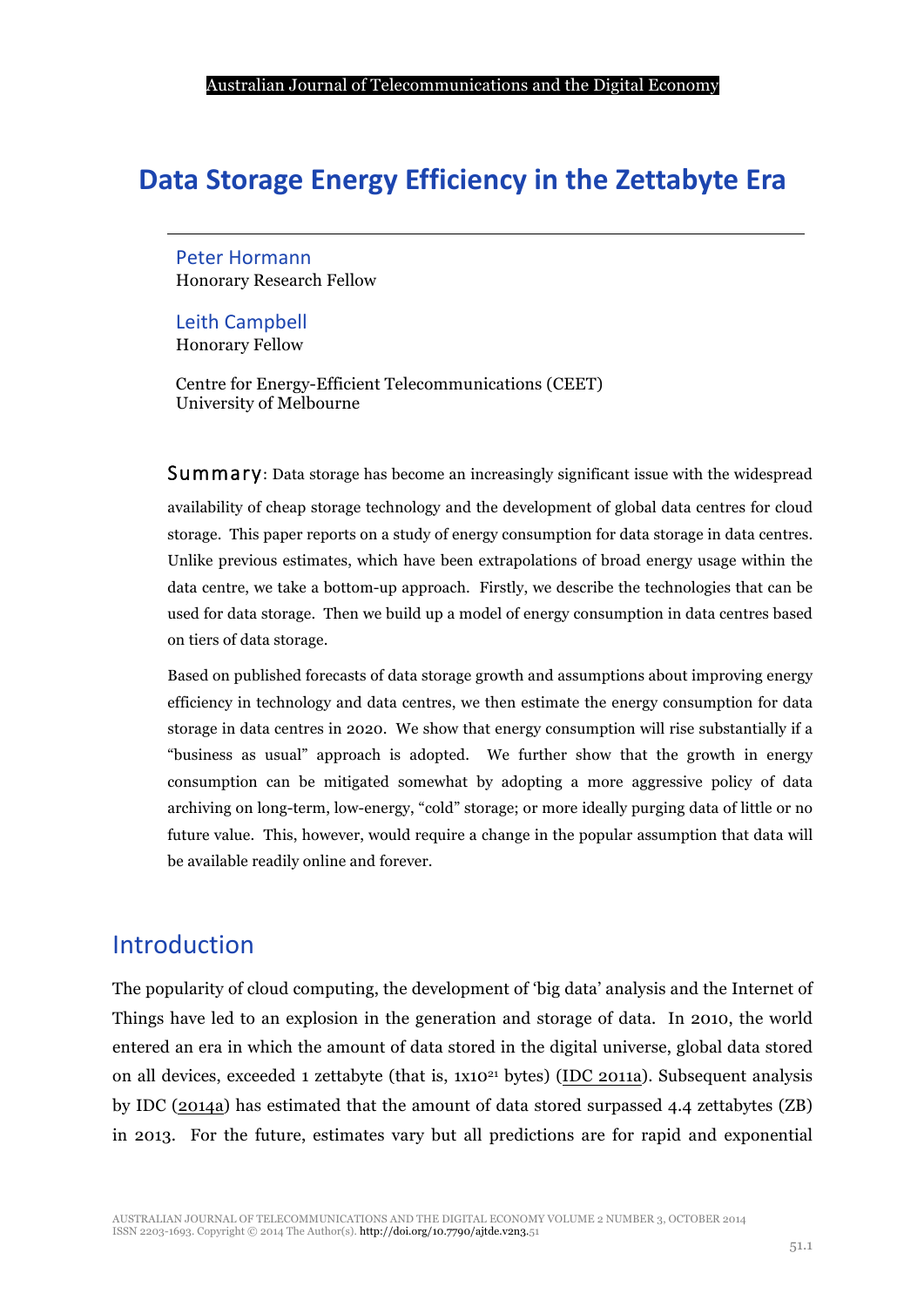## **Data Storage Energy Efficiency in the Zettabyte Era**

Peter Hormann Honorary Research Fellow

Leith Campbell Honorary Fellow

Centre for Energy-Efficient Telecommunications (CEET) University of Melbourne

Summary: Data storage has become an increasingly significant issue with the widespread

availability of cheap storage technology and the development of global data centres for cloud storage. This paper reports on a study of energy consumption for data storage in data centres. Unlike previous estimates, which have been extrapolations of broad energy usage within the data centre, we take a bottom-up approach. Firstly, we describe the technologies that can be used for data storage. Then we build up a model of energy consumption in data centres based on tiers of data storage.

Based on published forecasts of data storage growth and assumptions about improving energy efficiency in technology and data centres, we then estimate the energy consumption for data storage in data centres in 2020. We show that energy consumption will rise substantially if a "business as usual" approach is adopted. We further show that the growth in energy consumption can be mitigated somewhat by adopting a more aggressive policy of data archiving on long-term, low-energy, "cold" storage; or more ideally purging data of little or no future value. This, however, would require a change in the popular assumption that data will be available readily online and forever.

## Introduction

The popularity of cloud computing, the development of 'big data' analysis and the Internet of Things have led to an explosion in the generation and storage of data. In 2010, the world entered an era in which the amount of data stored in the digital universe, global data stored on all devices, exceeded 1 zettabyte (that is,  $1x10^{21}$  bytes) (IDC 2011a). Subsequent analysis by IDC (2014a) has estimated that the amount of data stored surpassed 4.4 zettabytes (ZB) in 2013. For the future, estimates vary but all predictions are for rapid and exponential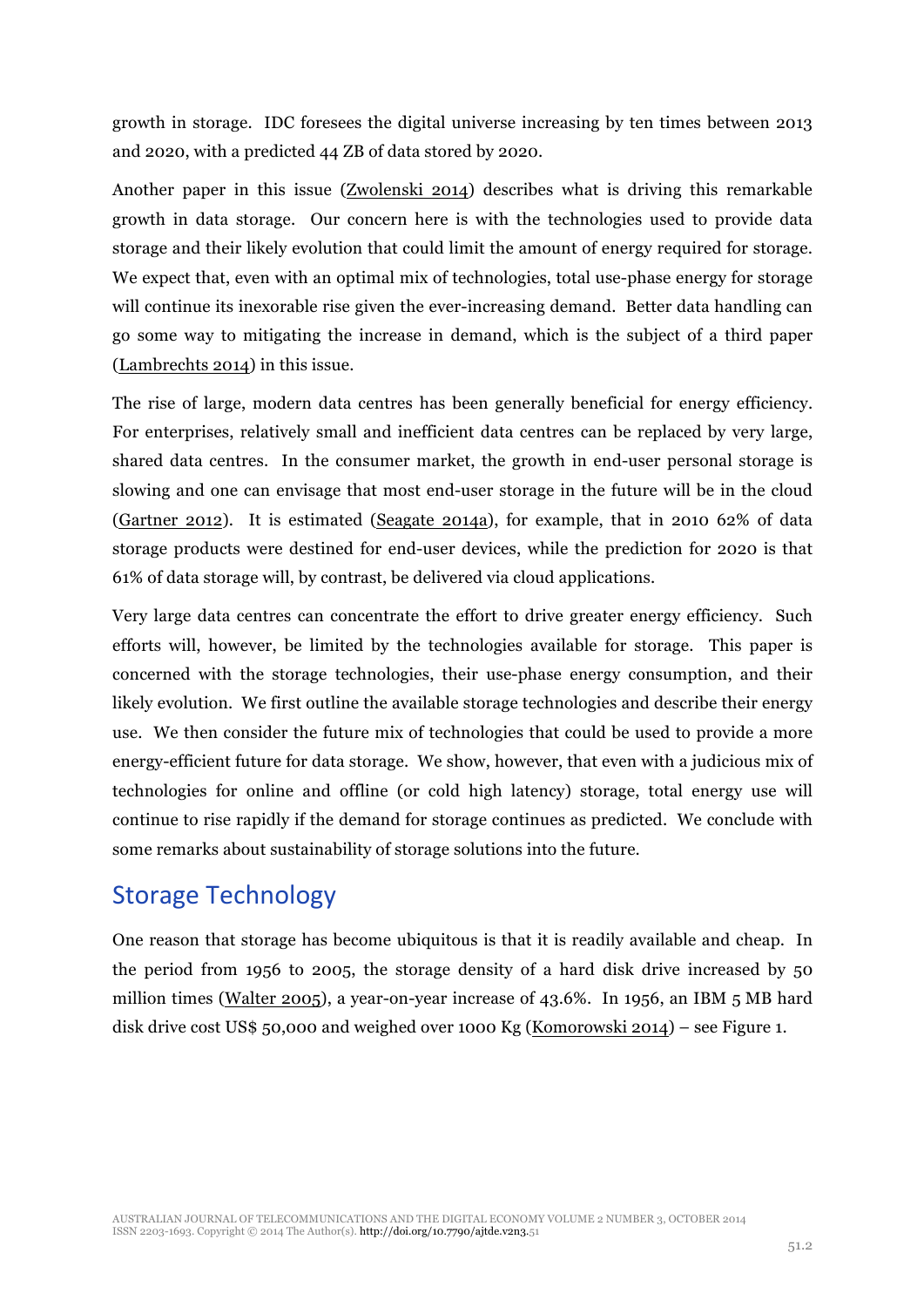growth in storage. IDC foresees the digital universe increasing by ten times between 2013 and 2020, with a predicted 44 ZB of data stored by 2020.

Another paper in this issue (Zwolenski 2014) describes what is driving this remarkable growth in data storage. Our concern here is with the technologies used to provide data storage and their likely evolution that could limit the amount of energy required for storage. We expect that, even with an optimal mix of technologies, total use-phase energy for storage will continue its inexorable rise given the ever-increasing demand. Better data handling can go some way to mitigating the increase in demand, which is the subject of a third paper (Lambrechts 2014) in this issue.

The rise of large, modern data centres has been generally beneficial for energy efficiency. For enterprises, relatively small and inefficient data centres can be replaced by very large, shared data centres. In the consumer market, the growth in end-user personal storage is slowing and one can envisage that most end-user storage in the future will be in the cloud (Gartner 2012). It is estimated (Seagate 2014a), for example, that in 2010 62% of data storage products were destined for end-user devices, while the prediction for 2020 is that 61% of data storage will, by contrast, be delivered via cloud applications.

Very large data centres can concentrate the effort to drive greater energy efficiency. Such efforts will, however, be limited by the technologies available for storage. This paper is concerned with the storage technologies, their use-phase energy consumption, and their likely evolution. We first outline the available storage technologies and describe their energy use. We then consider the future mix of technologies that could be used to provide a more energy-efficient future for data storage. We show, however, that even with a judicious mix of technologies for online and offline (or cold high latency) storage, total energy use will continue to rise rapidly if the demand for storage continues as predicted. We conclude with some remarks about sustainability of storage solutions into the future.

## **Storage Technology**

One reason that storage has become ubiquitous is that it is readily available and cheap. In the period from 1956 to 2005, the storage density of a hard disk drive increased by 50 million times (Walter 2005), a year-on-year increase of 43.6%. In 1956, an IBM 5 MB hard disk drive cost US\$ 50,000 and weighed over 1000 Kg (Komorowski 2014) – see Figure 1.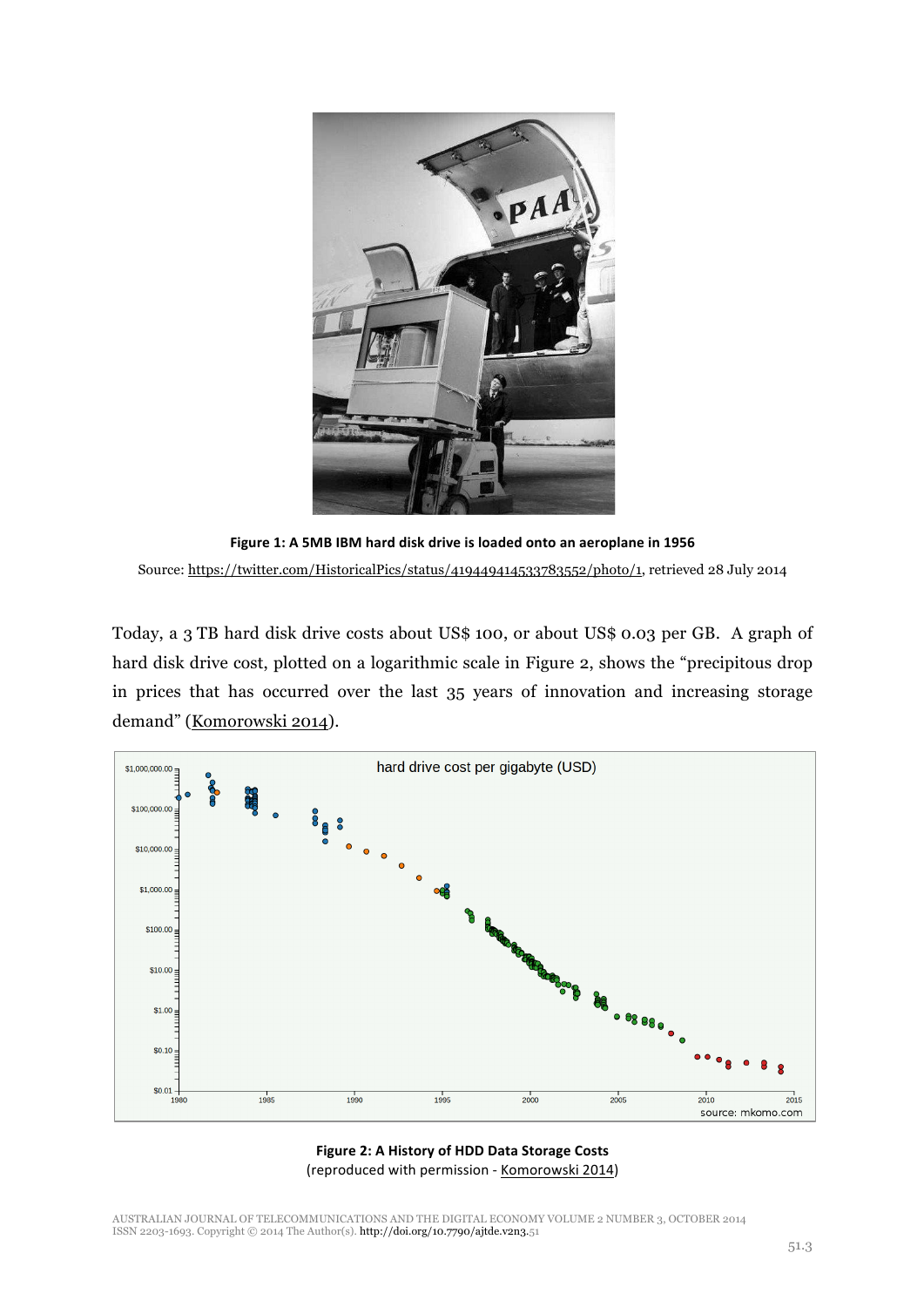

Figure 1: A 5MB IBM hard disk drive is loaded onto an aeroplane in 1956 Source: https://twitter.com/HistoricalPics/status/419449414533783552/photo/1, retrieved 28 July 2014

Today, a 3 TB hard disk drive costs about US\$ 100, or about US\$ 0.03 per GB. A graph of hard disk drive cost, plotted on a logarithmic scale in Figure 2, shows the "precipitous drop in prices that has occurred over the last 35 years of innovation and increasing storage demand" (Komorowski 2014).



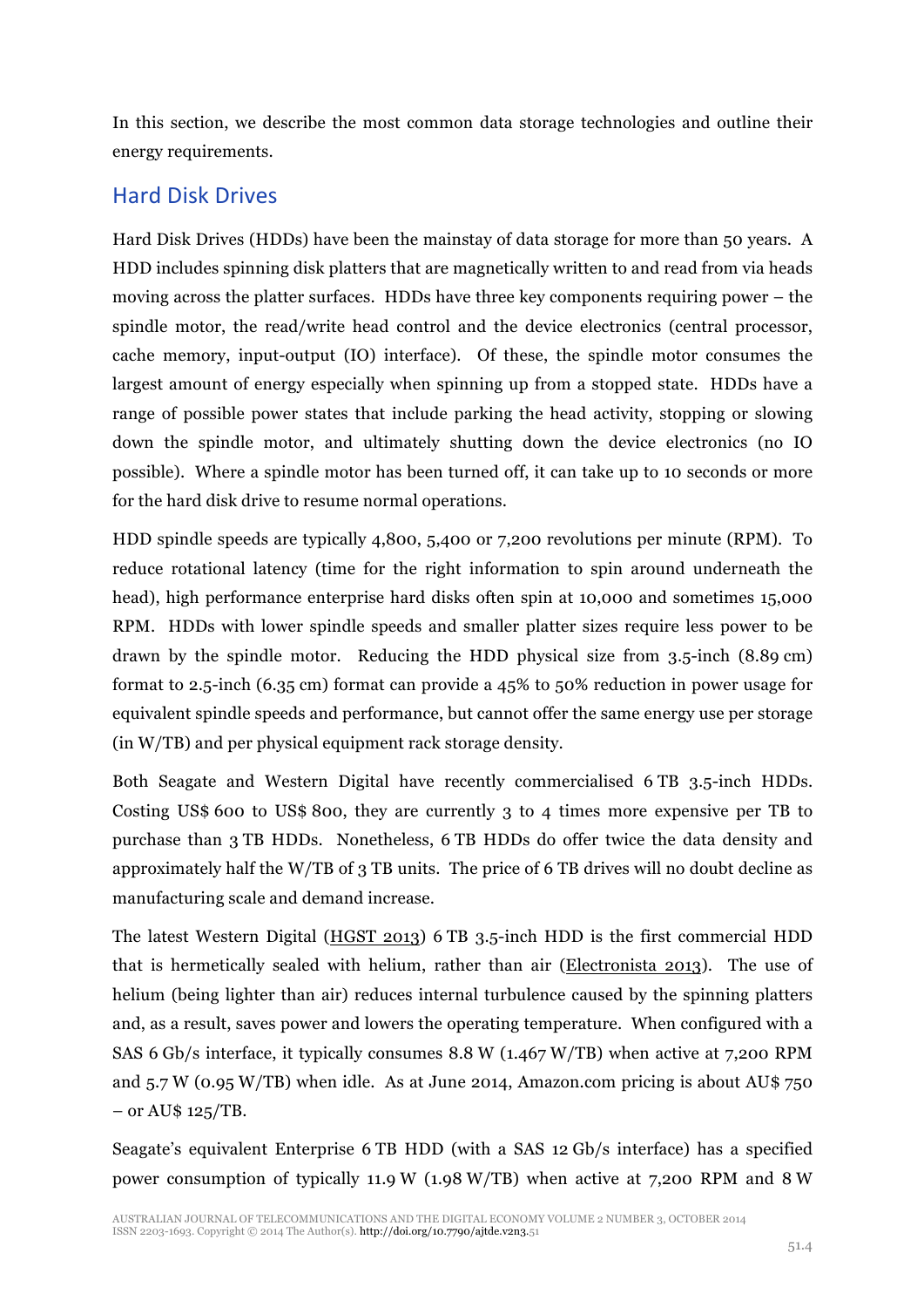In this section, we describe the most common data storage technologies and outline their energy requirements.

#### Hard Disk Drives

Hard Disk Drives (HDDs) have been the mainstay of data storage for more than 50 years. A HDD includes spinning disk platters that are magnetically written to and read from via heads moving across the platter surfaces. HDDs have three key components requiring power – the spindle motor, the read/write head control and the device electronics (central processor, cache memory, input-output (IO) interface). Of these, the spindle motor consumes the largest amount of energy especially when spinning up from a stopped state. HDDs have a range of possible power states that include parking the head activity, stopping or slowing down the spindle motor, and ultimately shutting down the device electronics (no IO possible). Where a spindle motor has been turned off, it can take up to 10 seconds or more for the hard disk drive to resume normal operations.

HDD spindle speeds are typically 4,800, 5,400 or 7,200 revolutions per minute (RPM). To reduce rotational latency (time for the right information to spin around underneath the head), high performance enterprise hard disks often spin at 10,000 and sometimes 15,000 RPM. HDDs with lower spindle speeds and smaller platter sizes require less power to be drawn by the spindle motor. Reducing the HDD physical size from 3.5-inch (8.89 cm) format to 2.5-inch (6.35 cm) format can provide a 45% to 50% reduction in power usage for equivalent spindle speeds and performance, but cannot offer the same energy use per storage (in W/TB) and per physical equipment rack storage density.

Both Seagate and Western Digital have recently commercialised 6 TB 3.5-inch HDDs. Costing US\$ 600 to US\$ 800, they are currently 3 to 4 times more expensive per TB to purchase than 3 TB HDDs. Nonetheless, 6 TB HDDs do offer twice the data density and approximately half the W/TB of 3 TB units. The price of 6 TB drives will no doubt decline as manufacturing scale and demand increase.

The latest Western Digital (HGST 2013) 6 TB 3.5-inch HDD is the first commercial HDD that is hermetically sealed with helium, rather than air (Electronista 2013). The use of helium (being lighter than air) reduces internal turbulence caused by the spinning platters and, as a result, saves power and lowers the operating temperature. When configured with a SAS 6 Gb/s interface, it typically consumes 8.8 W (1.467 W/TB) when active at 7,200 RPM and 5.7 W (0.95 W/TB) when idle. As at June 2014, Amazon.com pricing is about AU\$ 750  $-$  or AU\$ 125/TB.

Seagate's equivalent Enterprise 6 TB HDD (with a SAS 12 Gb/s interface) has a specified power consumption of typically 11.9 W (1.98 W/TB) when active at 7,200 RPM and 8 W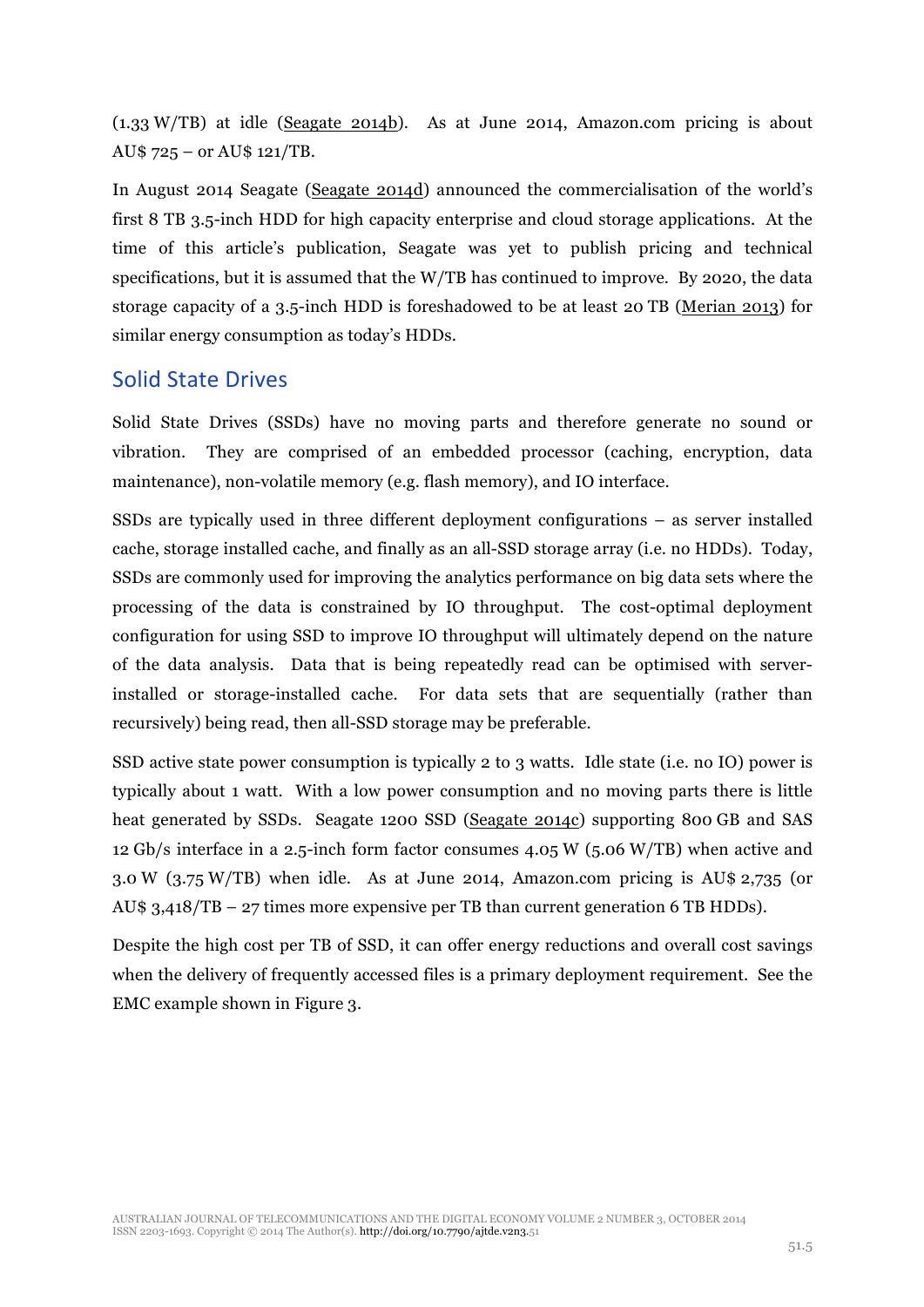(1.33 W/TB) at idle (Seagate 2014b). As at June 2014, Amazon.com pricing is about AU\$ 725 – or AU\$ 121/TB.

In August 2014 Seagate (Seagate 2014d) announced the commercialisation of the world's first 8 TB 3.5-inch HDD for high capacity enterprise and cloud storage applications. At the time of this article's publication, Seagate was yet to publish pricing and technical specifications, but it is assumed that the W/TB has continued to improve. By 2020, the data storage capacity of a 3.5-inch HDD is foreshadowed to be at least 20 TB (Merian 2013) for similar energy consumption as today's HDDs.

#### Solid State Drives

Solid State Drives (SSDs) have no moving parts and therefore generate no sound or vibration. They are comprised of an embedded processor (caching, encryption, data maintenance), non-volatile memory (e.g. flash memory), and IO interface.

SSDs are typically used in three different deployment configurations – as server installed cache, storage installed cache, and finally as an all-SSD storage array (i.e. no HDDs). Today, SSDs are commonly used for improving the analytics performance on big data sets where the processing of the data is constrained by IO throughput. The cost-optimal deployment configuration for using SSD to improve IO throughput will ultimately depend on the nature of the data analysis. Data that is being repeatedly read can be optimised with serverinstalled or storage-installed cache. For data sets that are sequentially (rather than recursively) being read, then all-SSD storage may be preferable.

SSD active state power consumption is typically 2 to 3 watts. Idle state (i.e. no IO) power is typically about 1 watt. With a low power consumption and no moving parts there is little heat generated by SSDs. Seagate 1200 SSD (Seagate 2014c) supporting 800 GB and SAS 12 Gb/s interface in a 2.5-inch form factor consumes 4.05 W (5.06 W/TB) when active and 3.0 W (3.75 W/TB) when idle. As at June 2014, Amazon.com pricing is AU\$ 2,735 (or AU\$ 3,418/TB – 27 times more expensive per TB than current generation 6 TB HDDs).

Despite the high cost per TB of SSD, it can offer energy reductions and overall cost savings when the delivery of frequently accessed files is a primary deployment requirement. See the EMC example shown in Figure 3.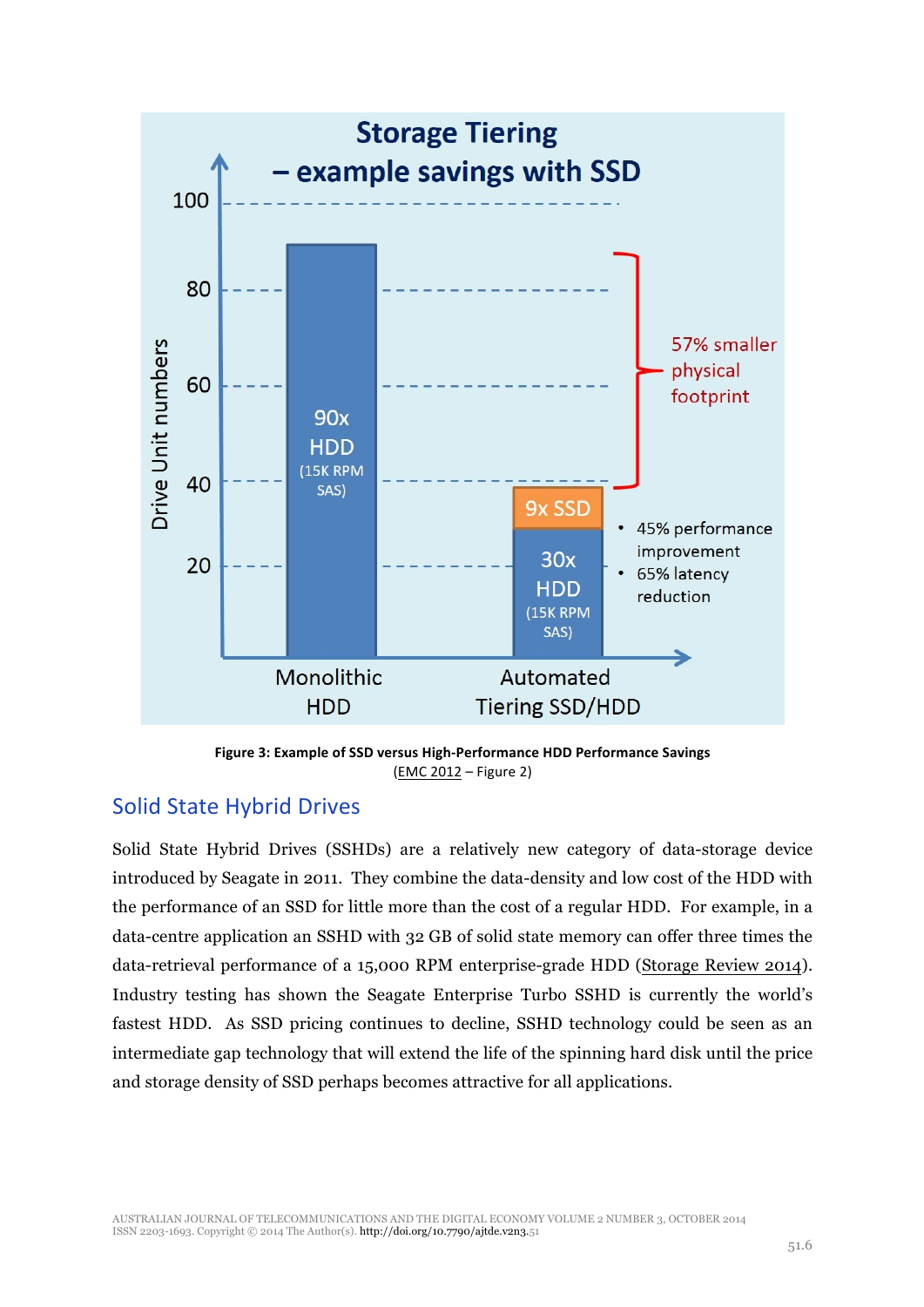

Figure 3: Example of SSD versus High-Performance HDD Performance Savings (EMC 2012 – Figure 2)

#### Solid State Hybrid Drives

Solid State Hybrid Drives (SSHDs) are a relatively new category of data-storage device introduced by Seagate in 2011. They combine the data-density and low cost of the HDD with the performance of an SSD for little more than the cost of a regular HDD. For example, in a data-centre application an SSHD with 32 GB of solid state memory can offer three times the data-retrieval performance of a 15,000 RPM enterprise-grade HDD (Storage Review 2014). Industry testing has shown the Seagate Enterprise Turbo SSHD is currently the world's fastest HDD. As SSD pricing continues to decline, SSHD technology could be seen as an intermediate gap technology that will extend the life of the spinning hard disk until the price and storage density of SSD perhaps becomes attractive for all applications.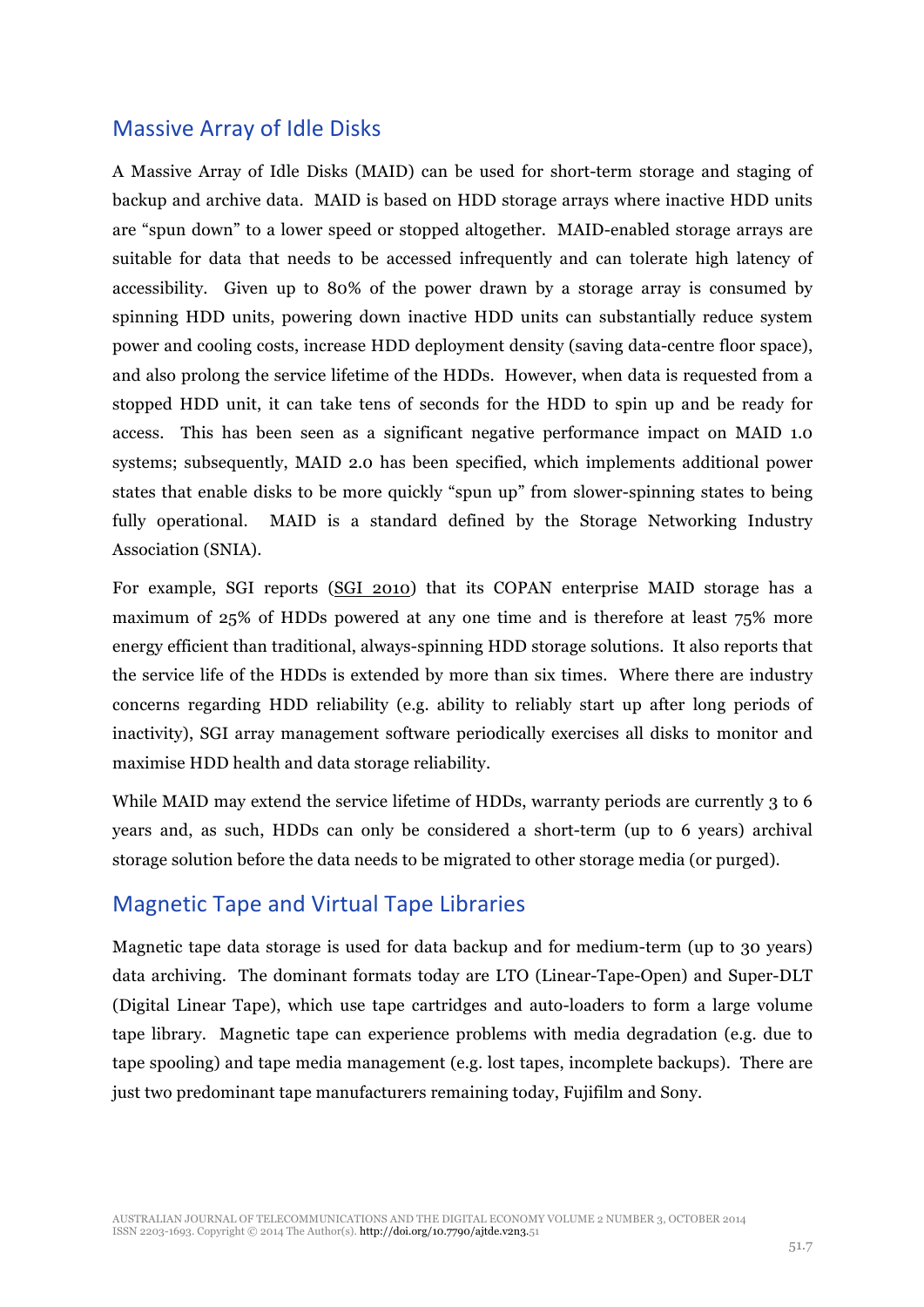#### **Massive Array of Idle Disks**

A Massive Array of Idle Disks (MAID) can be used for short-term storage and staging of backup and archive data. MAID is based on HDD storage arrays where inactive HDD units are "spun down" to a lower speed or stopped altogether. MAID-enabled storage arrays are suitable for data that needs to be accessed infrequently and can tolerate high latency of accessibility. Given up to 80% of the power drawn by a storage array is consumed by spinning HDD units, powering down inactive HDD units can substantially reduce system power and cooling costs, increase HDD deployment density (saving data-centre floor space), and also prolong the service lifetime of the HDDs. However, when data is requested from a stopped HDD unit, it can take tens of seconds for the HDD to spin up and be ready for access. This has been seen as a significant negative performance impact on MAID 1.0 systems; subsequently, MAID 2.0 has been specified, which implements additional power states that enable disks to be more quickly "spun up" from slower-spinning states to being fully operational. MAID is a standard defined by the Storage Networking Industry Association (SNIA).

For example, SGI reports (SGI 2010) that its COPAN enterprise MAID storage has a maximum of 25% of HDDs powered at any one time and is therefore at least 75% more energy efficient than traditional, always-spinning HDD storage solutions. It also reports that the service life of the HDDs is extended by more than six times. Where there are industry concerns regarding HDD reliability (e.g. ability to reliably start up after long periods of inactivity), SGI array management software periodically exercises all disks to monitor and maximise HDD health and data storage reliability.

While MAID may extend the service lifetime of HDDs, warranty periods are currently 3 to 6 years and, as such, HDDs can only be considered a short-term (up to 6 years) archival storage solution before the data needs to be migrated to other storage media (or purged).

### Magnetic Tape and Virtual Tape Libraries

Magnetic tape data storage is used for data backup and for medium-term (up to 30 years) data archiving. The dominant formats today are LTO (Linear-Tape-Open) and Super-DLT (Digital Linear Tape), which use tape cartridges and auto-loaders to form a large volume tape library. Magnetic tape can experience problems with media degradation (e.g. due to tape spooling) and tape media management (e.g. lost tapes, incomplete backups). There are just two predominant tape manufacturers remaining today, Fujifilm and Sony.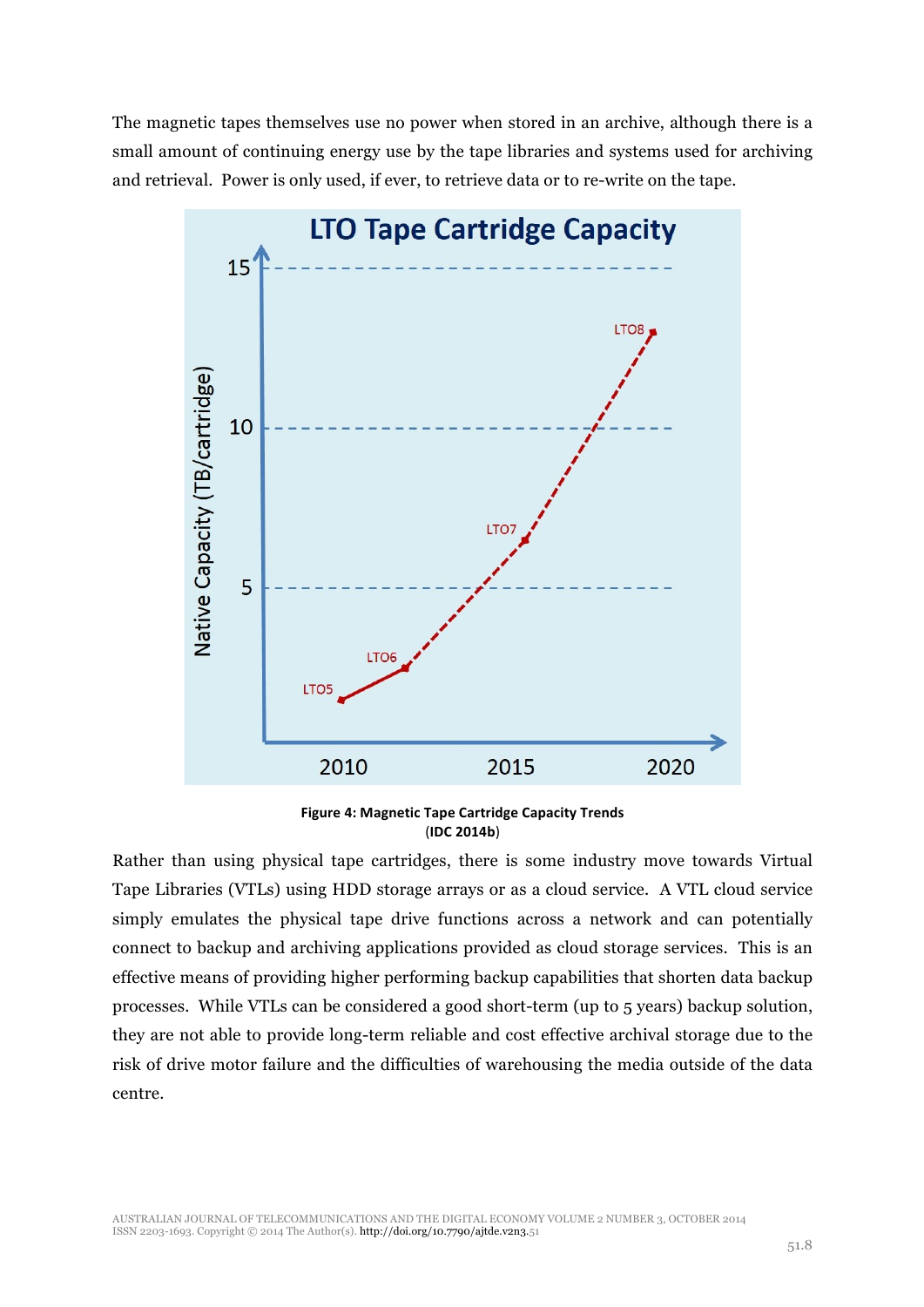The magnetic tapes themselves use no power when stored in an archive, although there is a small amount of continuing energy use by the tape libraries and systems used for archiving and retrieval. Power is only used, if ever, to retrieve data or to re-write on the tape.



**Figure 4: Magnetic Tape Cartridge Capacity Trends** (**IDC 2014b**)

Rather than using physical tape cartridges, there is some industry move towards Virtual Tape Libraries (VTLs) using HDD storage arrays or as a cloud service. A VTL cloud service simply emulates the physical tape drive functions across a network and can potentially connect to backup and archiving applications provided as cloud storage services. This is an effective means of providing higher performing backup capabilities that shorten data backup processes. While VTLs can be considered a good short-term (up to 5 years) backup solution, they are not able to provide long-term reliable and cost effective archival storage due to the risk of drive motor failure and the difficulties of warehousing the media outside of the data centre.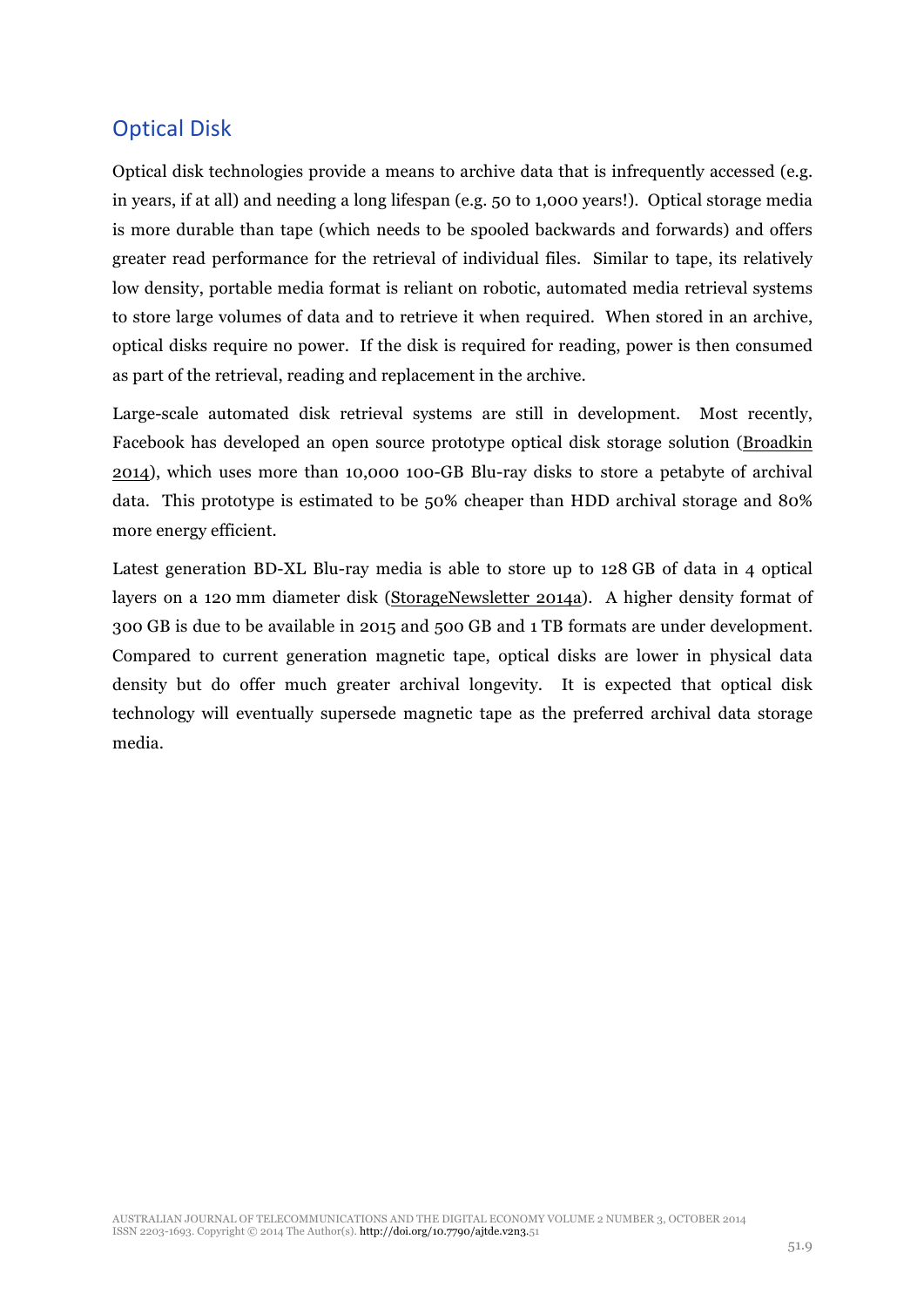## **Optical Disk**

Optical disk technologies provide a means to archive data that is infrequently accessed (e.g. in years, if at all) and needing a long lifespan (e.g. 50 to 1,000 years!). Optical storage media is more durable than tape (which needs to be spooled backwards and forwards) and offers greater read performance for the retrieval of individual files. Similar to tape, its relatively low density, portable media format is reliant on robotic, automated media retrieval systems to store large volumes of data and to retrieve it when required. When stored in an archive, optical disks require no power. If the disk is required for reading, power is then consumed as part of the retrieval, reading and replacement in the archive.

Large-scale automated disk retrieval systems are still in development. Most recently, Facebook has developed an open source prototype optical disk storage solution (Broadkin 2014), which uses more than 10,000 100-GB Blu-ray disks to store a petabyte of archival data. This prototype is estimated to be 50% cheaper than HDD archival storage and 80% more energy efficient.

Latest generation BD-XL Blu-ray media is able to store up to 128 GB of data in 4 optical layers on a 120 mm diameter disk (StorageNewsletter 2014a). A higher density format of 300 GB is due to be available in 2015 and 500 GB and 1 TB formats are under development. Compared to current generation magnetic tape, optical disks are lower in physical data density but do offer much greater archival longevity. It is expected that optical disk technology will eventually supersede magnetic tape as the preferred archival data storage media.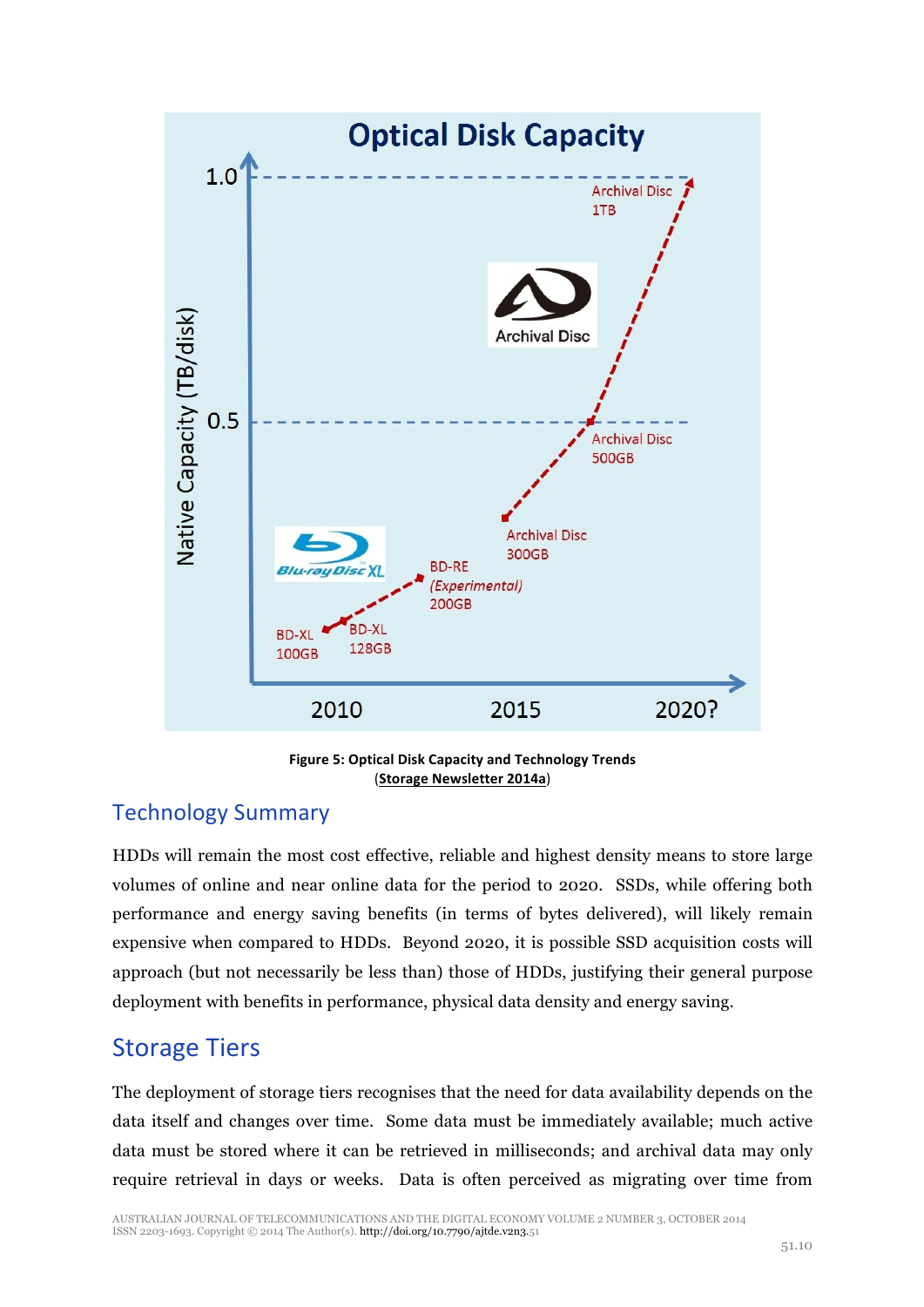

**Figure 5: Optical Disk Capacity and Technology Trends** (**Storage Newsletter 2014a**)

## Technology Summary

HDDs will remain the most cost effective, reliable and highest density means to store large volumes of online and near online data for the period to 2020. SSDs, while offering both performance and energy saving benefits (in terms of bytes delivered), will likely remain expensive when compared to HDDs. Beyond 2020, it is possible SSD acquisition costs will approach (but not necessarily be less than) those of HDDs, justifying their general purpose deployment with benefits in performance, physical data density and energy saving.

## **Storage Tiers**

The deployment of storage tiers recognises that the need for data availability depends on the data itself and changes over time. Some data must be immediately available; much active data must be stored where it can be retrieved in milliseconds; and archival data may only require retrieval in days or weeks. Data is often perceived as migrating over time from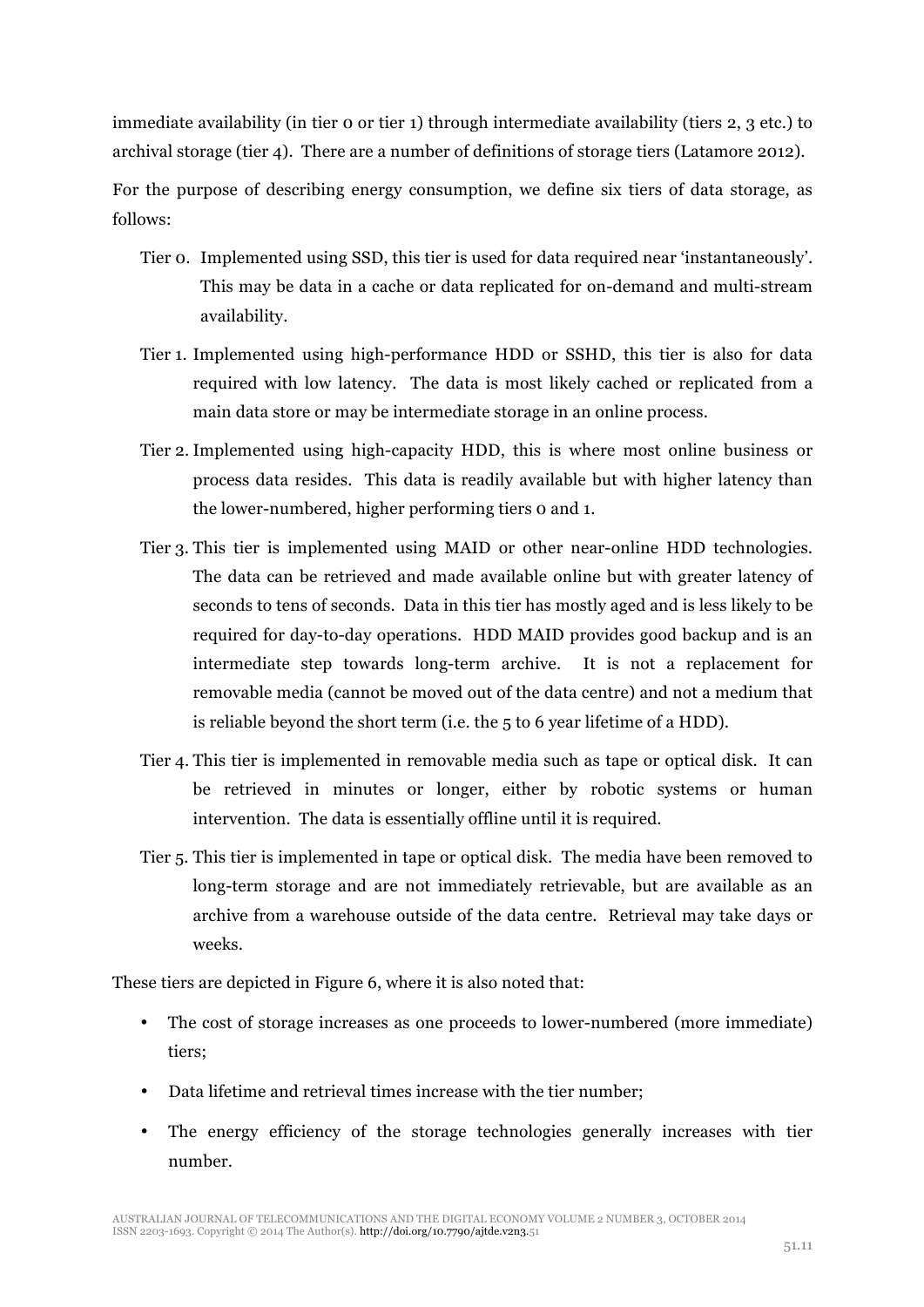immediate availability (in tier 0 or tier 1) through intermediate availability (tiers 2, 3 etc.) to archival storage (tier 4). There are a number of definitions of storage tiers (Latamore 2012).

For the purpose of describing energy consumption, we define six tiers of data storage, as follows:

- Tier 0. Implemented using SSD, this tier is used for data required near 'instantaneously'. This may be data in a cache or data replicated for on-demand and multi-stream availability.
- Tier 1. Implemented using high-performance HDD or SSHD, this tier is also for data required with low latency. The data is most likely cached or replicated from a main data store or may be intermediate storage in an online process.
- Tier 2. Implemented using high-capacity HDD, this is where most online business or process data resides. This data is readily available but with higher latency than the lower-numbered, higher performing tiers 0 and 1.
- Tier 3. This tier is implemented using MAID or other near-online HDD technologies. The data can be retrieved and made available online but with greater latency of seconds to tens of seconds. Data in this tier has mostly aged and is less likely to be required for day-to-day operations. HDD MAID provides good backup and is an intermediate step towards long-term archive. It is not a replacement for removable media (cannot be moved out of the data centre) and not a medium that is reliable beyond the short term (i.e. the 5 to 6 year lifetime of a HDD).
- Tier 4. This tier is implemented in removable media such as tape or optical disk. It can be retrieved in minutes or longer, either by robotic systems or human intervention. The data is essentially offline until it is required.
- Tier 5. This tier is implemented in tape or optical disk. The media have been removed to long-term storage and are not immediately retrievable, but are available as an archive from a warehouse outside of the data centre. Retrieval may take days or weeks.

These tiers are depicted in Figure 6, where it is also noted that:

- The cost of storage increases as one proceeds to lower-numbered (more immediate) tiers;
- Data lifetime and retrieval times increase with the tier number;
- The energy efficiency of the storage technologies generally increases with tier number.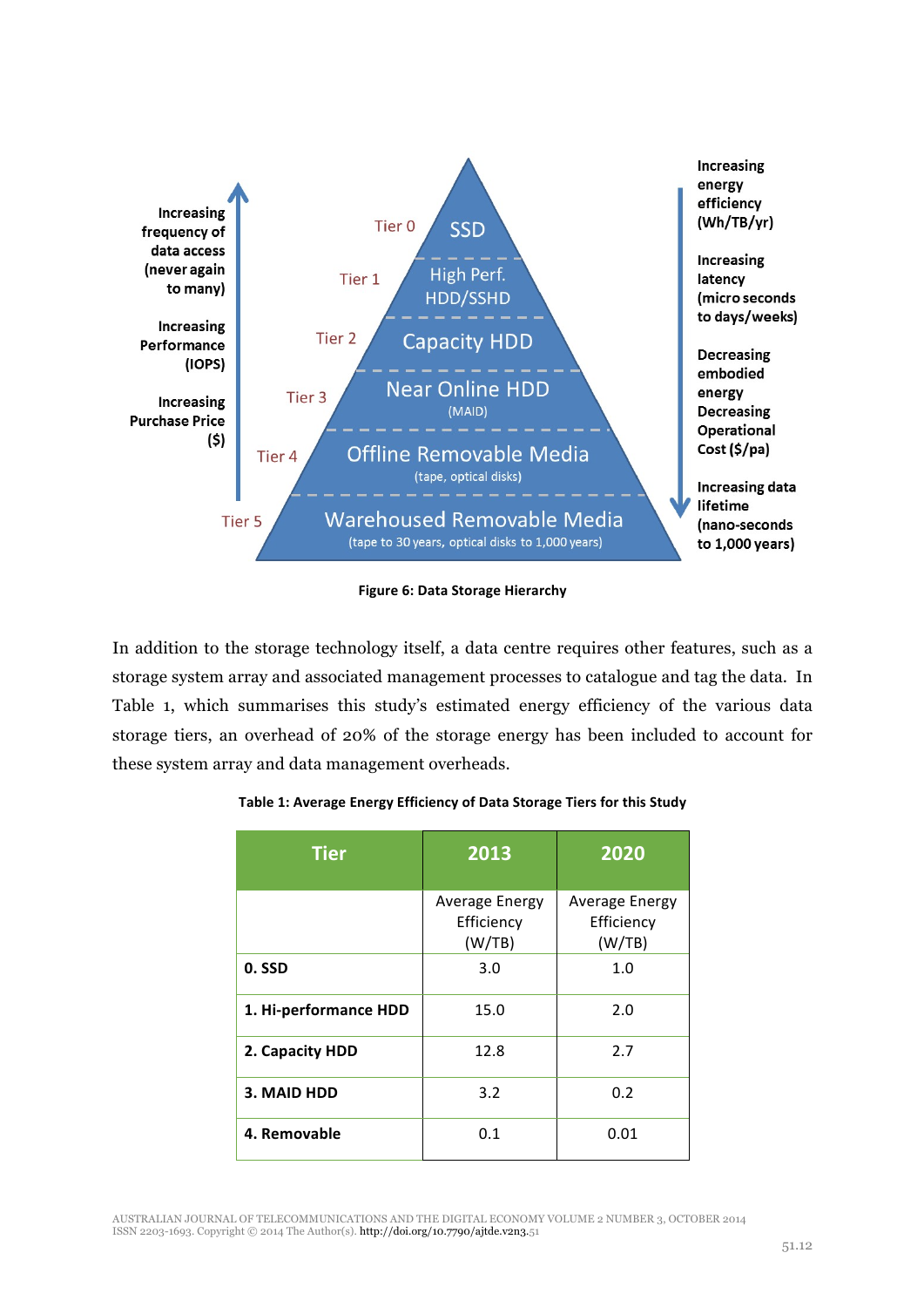

**Figure 6: Data Storage Hierarchy** 

In addition to the storage technology itself, a data centre requires other features, such as a storage system array and associated management processes to catalogue and tag the data. In Table 1, which summarises this study's estimated energy efficiency of the various data storage tiers, an overhead of 20% of the storage energy has been included to account for these system array and data management overheads.

| <b>Tier</b>           | 2013                                   | 2020                                          |
|-----------------------|----------------------------------------|-----------------------------------------------|
|                       | Average Energy<br>Efficiency<br>(W/TB) | <b>Average Energy</b><br>Efficiency<br>(W/TB) |
| 0. SSD                | 3.0                                    | 1.0                                           |
| 1. Hi-performance HDD | 15.0                                   | 2.0                                           |
| 2. Capacity HDD       | 12.8                                   | 2.7                                           |
| 3. MAID HDD           | 3.2                                    | 0.2                                           |
| 4. Removable          | 0.1                                    | 0.01                                          |

#### Table 1: Average Energy Efficiency of Data Storage Tiers for this Study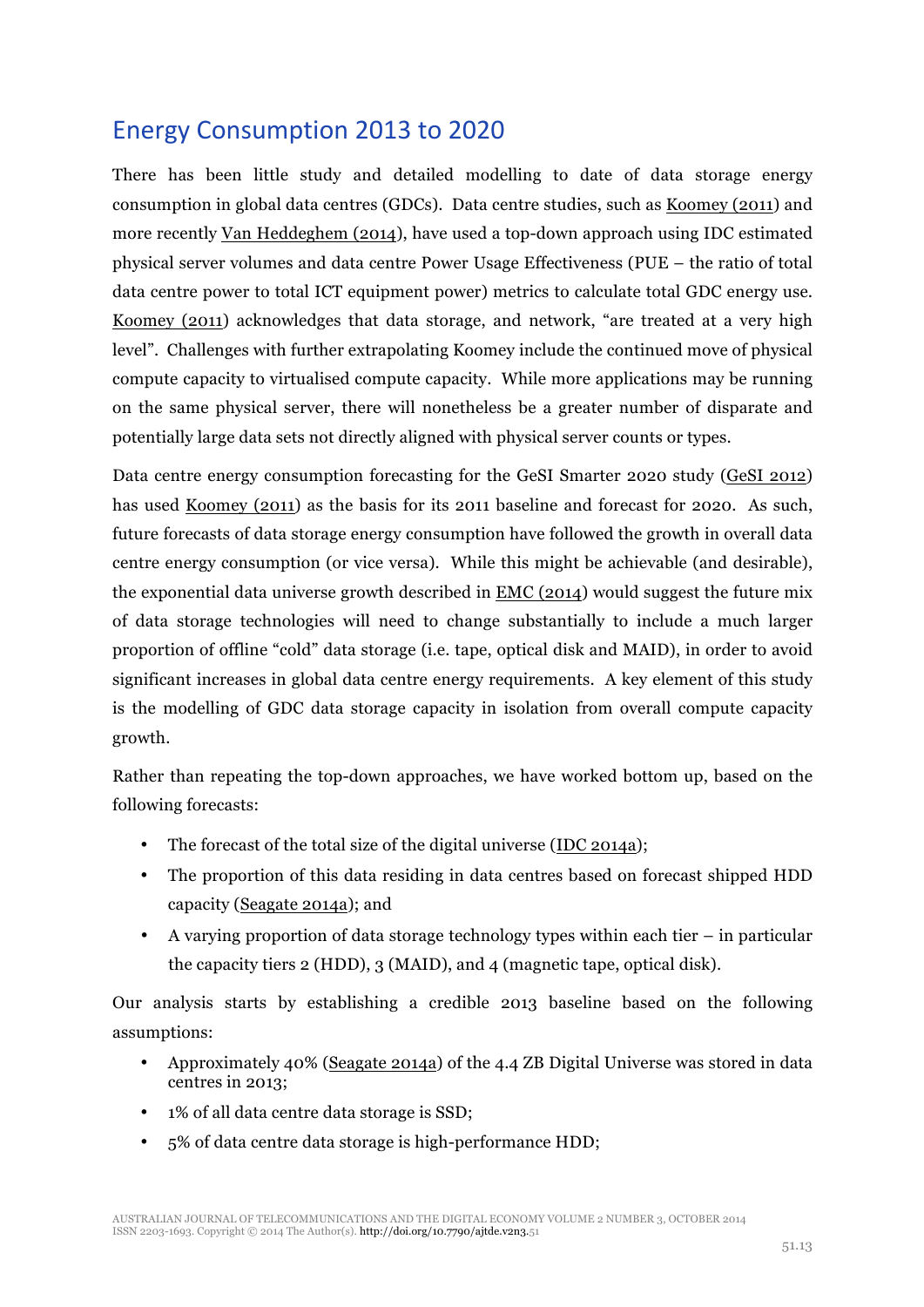## Energy Consumption 2013 to 2020

There has been little study and detailed modelling to date of data storage energy consumption in global data centres (GDCs). Data centre studies, such as Koomey (2011) and more recently Van Heddeghem (2014), have used a top-down approach using IDC estimated physical server volumes and data centre Power Usage Effectiveness (PUE – the ratio of total data centre power to total ICT equipment power) metrics to calculate total GDC energy use. Koomey (2011) acknowledges that data storage, and network, "are treated at a very high level". Challenges with further extrapolating Koomey include the continued move of physical compute capacity to virtualised compute capacity. While more applications may be running on the same physical server, there will nonetheless be a greater number of disparate and potentially large data sets not directly aligned with physical server counts or types.

Data centre energy consumption forecasting for the GeSI Smarter 2020 study (GeSI 2012) has used Koomey (2011) as the basis for its 2011 baseline and forecast for 2020. As such, future forecasts of data storage energy consumption have followed the growth in overall data centre energy consumption (or vice versa). While this might be achievable (and desirable), the exponential data universe growth described in EMC (2014) would suggest the future mix of data storage technologies will need to change substantially to include a much larger proportion of offline "cold" data storage (i.e. tape, optical disk and MAID), in order to avoid significant increases in global data centre energy requirements. A key element of this study is the modelling of GDC data storage capacity in isolation from overall compute capacity growth.

Rather than repeating the top-down approaches, we have worked bottom up, based on the following forecasts:

- The forecast of the total size of the digital universe (IDC 2014a);
- The proportion of this data residing in data centres based on forecast shipped HDD capacity (Seagate 2014a); and
- A varying proportion of data storage technology types within each tier in particular the capacity tiers 2 (HDD), 3 (MAID), and 4 (magnetic tape, optical disk).

Our analysis starts by establishing a credible 2013 baseline based on the following assumptions:

- Approximately 40% (Seagate 2014a) of the 4.4 ZB Digital Universe was stored in data centres in 2013;
- 1% of all data centre data storage is SSD;
- 5% of data centre data storage is high-performance HDD;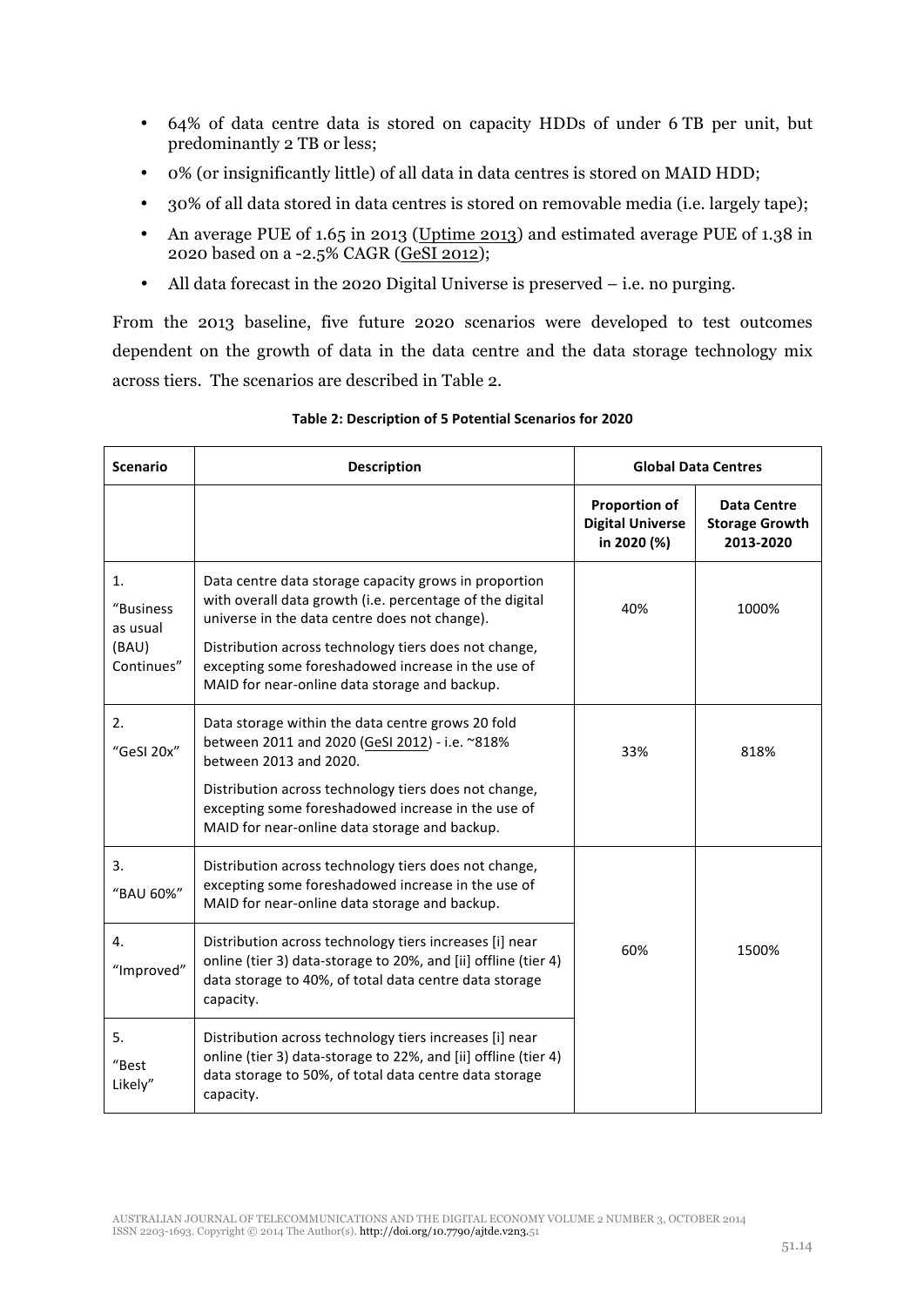- 64% of data centre data is stored on capacity HDDs of under 6 TB per unit, but predominantly 2 TB or less;
- 0% (or insignificantly little) of all data in data centres is stored on MAID HDD;
- 30% of all data stored in data centres is stored on removable media (i.e. largely tape);
- An average PUE of 1.65 in 2013 (Uptime 2013) and estimated average PUE of 1.38 in 2020 based on a -2.5% CAGR (GeSI 2012);
- All data forecast in the 2020 Digital Universe is preserved i.e. no purging.

From the 2013 baseline, five future 2020 scenarios were developed to test outcomes dependent on the growth of data in the data centre and the data storage technology mix across tiers. The scenarios are described in Table 2.

| <b>Scenario</b>                                    | <b>Description</b>                                                                                                                                                                                                                                                                                                                 |                                                                | <b>Global Data Centres</b>                               |
|----------------------------------------------------|------------------------------------------------------------------------------------------------------------------------------------------------------------------------------------------------------------------------------------------------------------------------------------------------------------------------------------|----------------------------------------------------------------|----------------------------------------------------------|
|                                                    |                                                                                                                                                                                                                                                                                                                                    | <b>Proportion of</b><br><b>Digital Universe</b><br>in 2020 (%) | <b>Data Centre</b><br><b>Storage Growth</b><br>2013-2020 |
| 1.<br>"Business<br>as usual<br>(BAU)<br>Continues" | Data centre data storage capacity grows in proportion<br>with overall data growth (i.e. percentage of the digital<br>universe in the data centre does not change).<br>Distribution across technology tiers does not change,<br>excepting some foreshadowed increase in the use of<br>MAID for near-online data storage and backup. | 40%                                                            | 1000%                                                    |
| 2.<br>"GeSI 20x"                                   | Data storage within the data centre grows 20 fold<br>between 2011 and 2020 (GeSI 2012) - i.e. ~818%<br>between 2013 and 2020.<br>Distribution across technology tiers does not change,<br>excepting some foreshadowed increase in the use of<br>MAID for near-online data storage and backup.                                      | 33%                                                            | 818%                                                     |
| 3.<br>"BAU 60%"                                    | Distribution across technology tiers does not change,<br>excepting some foreshadowed increase in the use of<br>MAID for near-online data storage and backup.                                                                                                                                                                       |                                                                |                                                          |
| 4.<br>"Improved"                                   | Distribution across technology tiers increases [i] near<br>online (tier 3) data-storage to 20%, and [ii] offline (tier 4)<br>data storage to 40%, of total data centre data storage<br>capacity.                                                                                                                                   | 60%                                                            | 1500%                                                    |
| 5.<br>"Best<br>Likely"                             | Distribution across technology tiers increases [i] near<br>online (tier 3) data-storage to 22%, and [ii] offline (tier 4)<br>data storage to 50%, of total data centre data storage<br>capacity.                                                                                                                                   |                                                                |                                                          |

#### Table 2: Description of 5 Potential Scenarios for 2020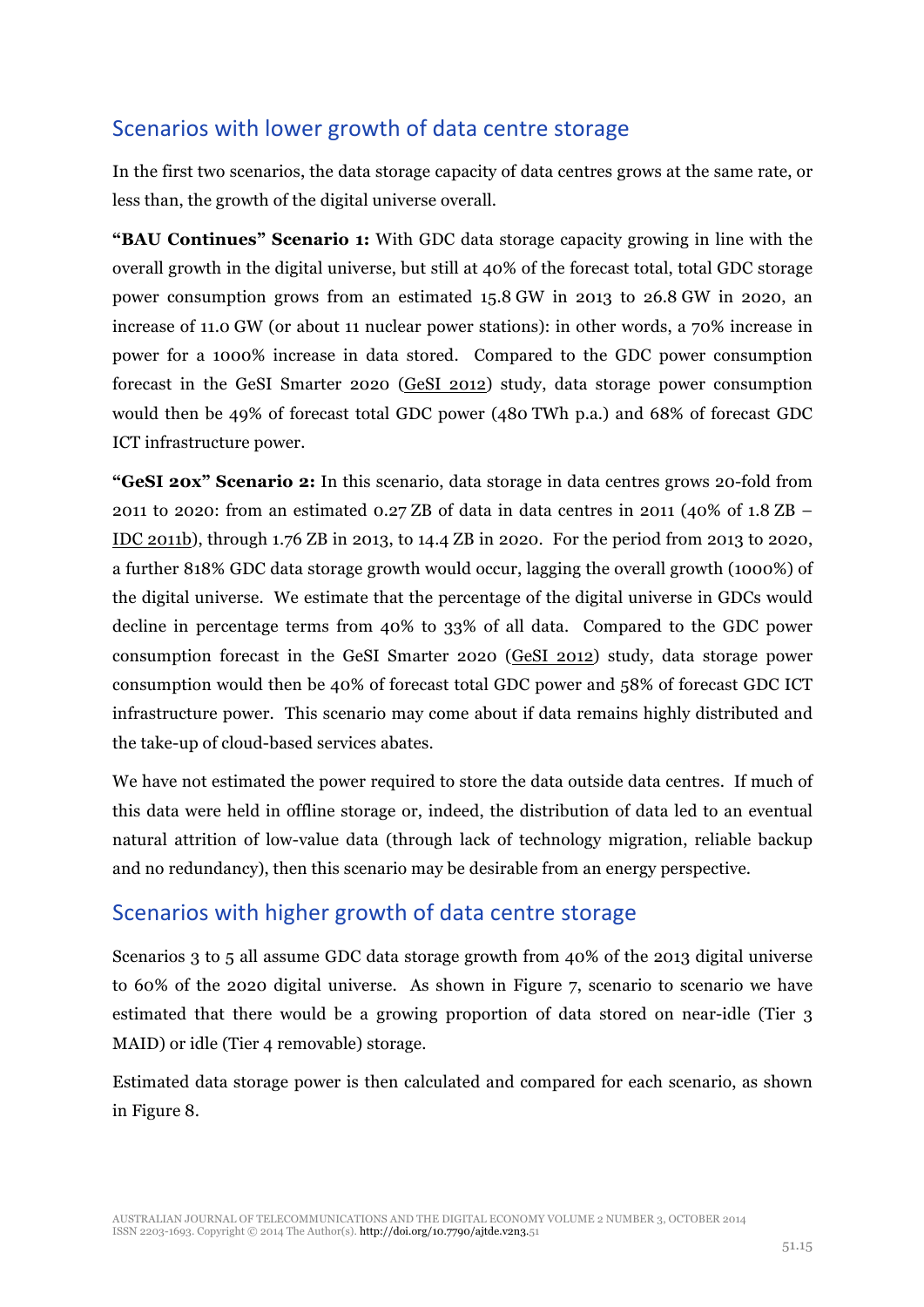## Scenarios with lower growth of data centre storage

In the first two scenarios, the data storage capacity of data centres grows at the same rate, or less than, the growth of the digital universe overall.

**"BAU Continues" Scenario 1:** With GDC data storage capacity growing in line with the overall growth in the digital universe, but still at 40% of the forecast total, total GDC storage power consumption grows from an estimated 15.8 GW in 2013 to 26.8 GW in 2020, an increase of 11.0 GW (or about 11 nuclear power stations): in other words, a 70% increase in power for a 1000% increase in data stored. Compared to the GDC power consumption forecast in the GeSI Smarter 2020 (GeSI 2012) study, data storage power consumption would then be 49% of forecast total GDC power (480 TWh p.a.) and 68% of forecast GDC ICT infrastructure power.

**"GeSI 20x" Scenario 2:** In this scenario, data storage in data centres grows 20-fold from 2011 to 2020: from an estimated 0.27 ZB of data in data centres in 2011 (40% of 1.8 ZB – IDC 2011b), through 1.76 ZB in 2013, to 14.4 ZB in 2020. For the period from 2013 to 2020, a further 818% GDC data storage growth would occur, lagging the overall growth (1000%) of the digital universe. We estimate that the percentage of the digital universe in GDCs would decline in percentage terms from 40% to 33% of all data. Compared to the GDC power consumption forecast in the GeSI Smarter 2020 (GeSI 2012) study, data storage power consumption would then be 40% of forecast total GDC power and 58% of forecast GDC ICT infrastructure power. This scenario may come about if data remains highly distributed and the take-up of cloud-based services abates.

We have not estimated the power required to store the data outside data centres. If much of this data were held in offline storage or, indeed, the distribution of data led to an eventual natural attrition of low-value data (through lack of technology migration, reliable backup and no redundancy), then this scenario may be desirable from an energy perspective.

### Scenarios with higher growth of data centre storage

Scenarios 3 to 5 all assume GDC data storage growth from 40% of the 2013 digital universe to 60% of the 2020 digital universe. As shown in Figure 7, scenario to scenario we have estimated that there would be a growing proportion of data stored on near-idle (Tier 3 MAID) or idle (Tier 4 removable) storage.

Estimated data storage power is then calculated and compared for each scenario, as shown in Figure 8.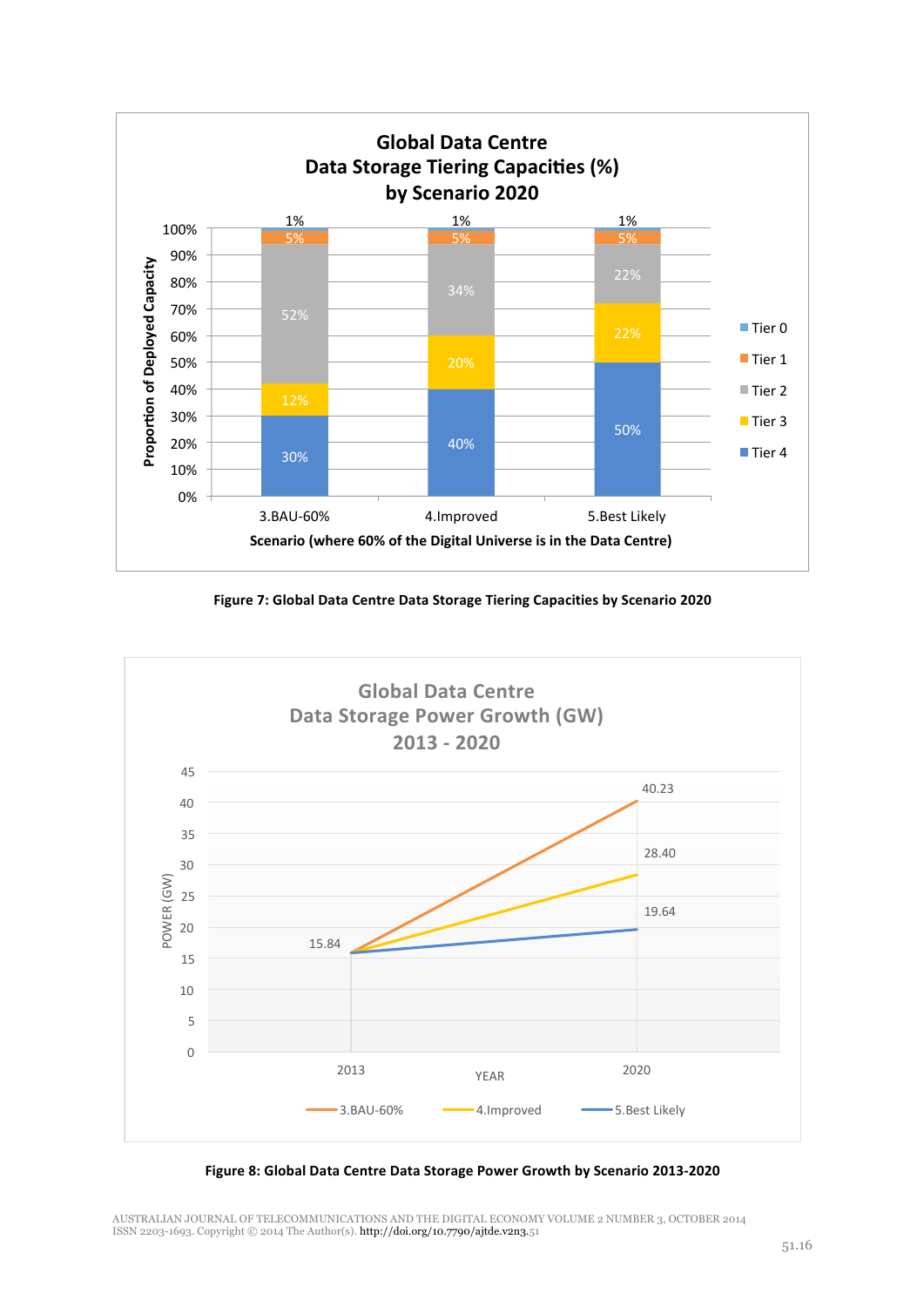

**Figure 7: Global Data Centre Data Storage Tiering Capacities by Scenario 2020**



Figure 8: Global Data Centre Data Storage Power Growth by Scenario 2013-2020

AUSTRALIAN JOURNAL OF TELECOMMUNICATIONS AND THE DIGITAL ECONOMY VOLUME 2 NUMBER 3, OCTOBER 2014<br>ISSN 2203-1693. Copyright © 2014 The Author(s). **http://doi.org/10.7790/ajtde.v2n3**.51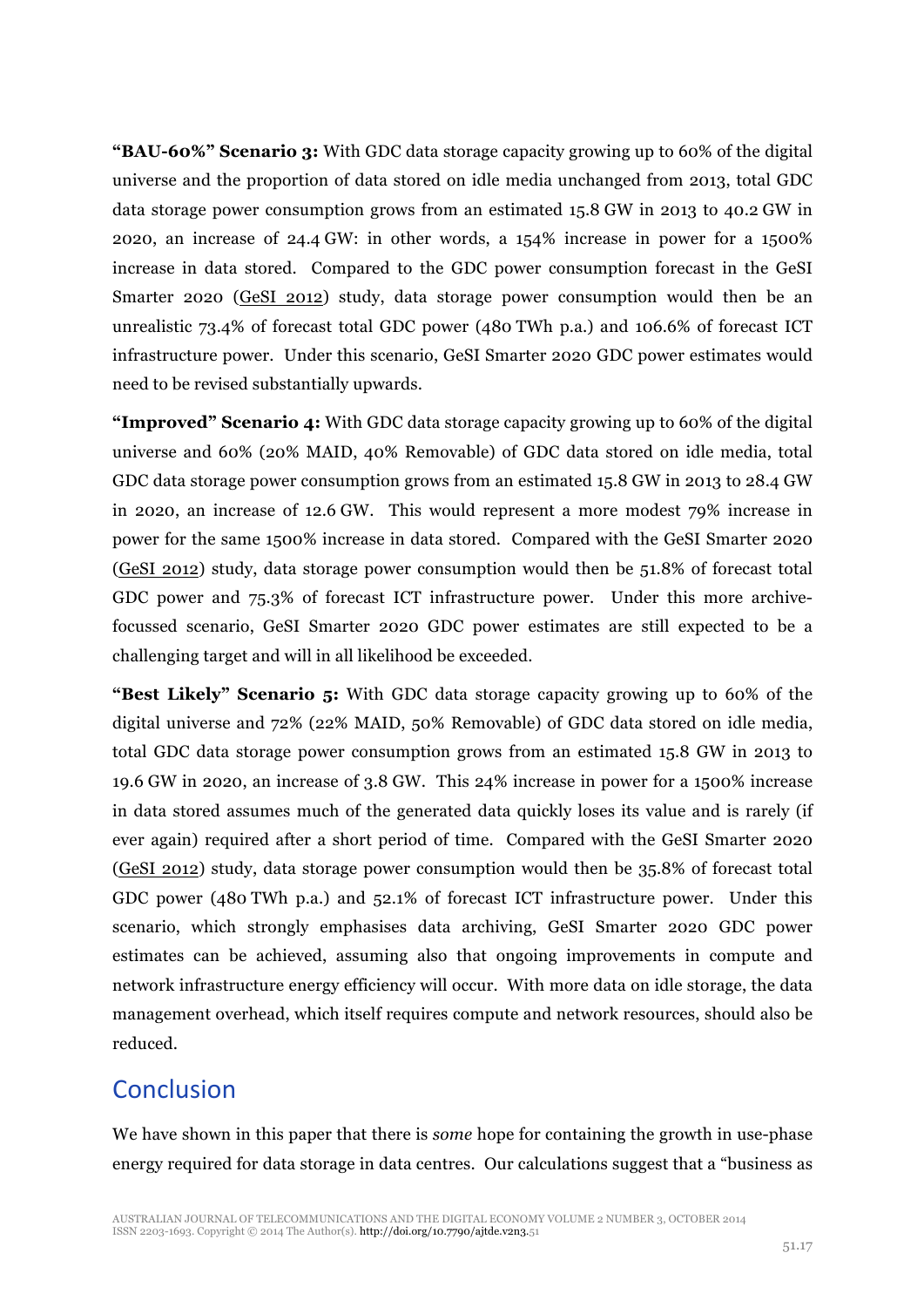**"BAU-60%" Scenario 3:** With GDC data storage capacity growing up to 60% of the digital universe and the proportion of data stored on idle media unchanged from 2013, total GDC data storage power consumption grows from an estimated 15.8 GW in 2013 to 40.2 GW in 2020, an increase of 24.4 GW: in other words, a 154% increase in power for a 1500% increase in data stored. Compared to the GDC power consumption forecast in the GeSI Smarter 2020 (GeSI 2012) study, data storage power consumption would then be an unrealistic 73.4% of forecast total GDC power (480 TWh p.a.) and 106.6% of forecast ICT infrastructure power. Under this scenario, GeSI Smarter 2020 GDC power estimates would need to be revised substantially upwards.

**"Improved" Scenario 4:** With GDC data storage capacity growing up to 60% of the digital universe and 60% (20% MAID, 40% Removable) of GDC data stored on idle media, total GDC data storage power consumption grows from an estimated 15.8 GW in 2013 to 28.4 GW in 2020, an increase of 12.6 GW. This would represent a more modest 79% increase in power for the same 1500% increase in data stored. Compared with the GeSI Smarter 2020 (GeSI 2012) study, data storage power consumption would then be 51.8% of forecast total GDC power and 75.3% of forecast ICT infrastructure power. Under this more archivefocussed scenario, GeSI Smarter 2020 GDC power estimates are still expected to be a challenging target and will in all likelihood be exceeded.

**"Best Likely" Scenario 5:** With GDC data storage capacity growing up to 60% of the digital universe and 72% (22% MAID, 50% Removable) of GDC data stored on idle media, total GDC data storage power consumption grows from an estimated 15.8 GW in 2013 to 19.6 GW in 2020, an increase of 3.8 GW. This 24% increase in power for a 1500% increase in data stored assumes much of the generated data quickly loses its value and is rarely (if ever again) required after a short period of time. Compared with the GeSI Smarter 2020 (GeSI 2012) study, data storage power consumption would then be 35.8% of forecast total GDC power (480 TWh p.a.) and 52.1% of forecast ICT infrastructure power. Under this scenario, which strongly emphasises data archiving, GeSI Smarter 2020 GDC power estimates can be achieved, assuming also that ongoing improvements in compute and network infrastructure energy efficiency will occur. With more data on idle storage, the data management overhead, which itself requires compute and network resources, should also be reduced.

## **Conclusion**

We have shown in this paper that there is *some* hope for containing the growth in use-phase energy required for data storage in data centres. Our calculations suggest that a "business as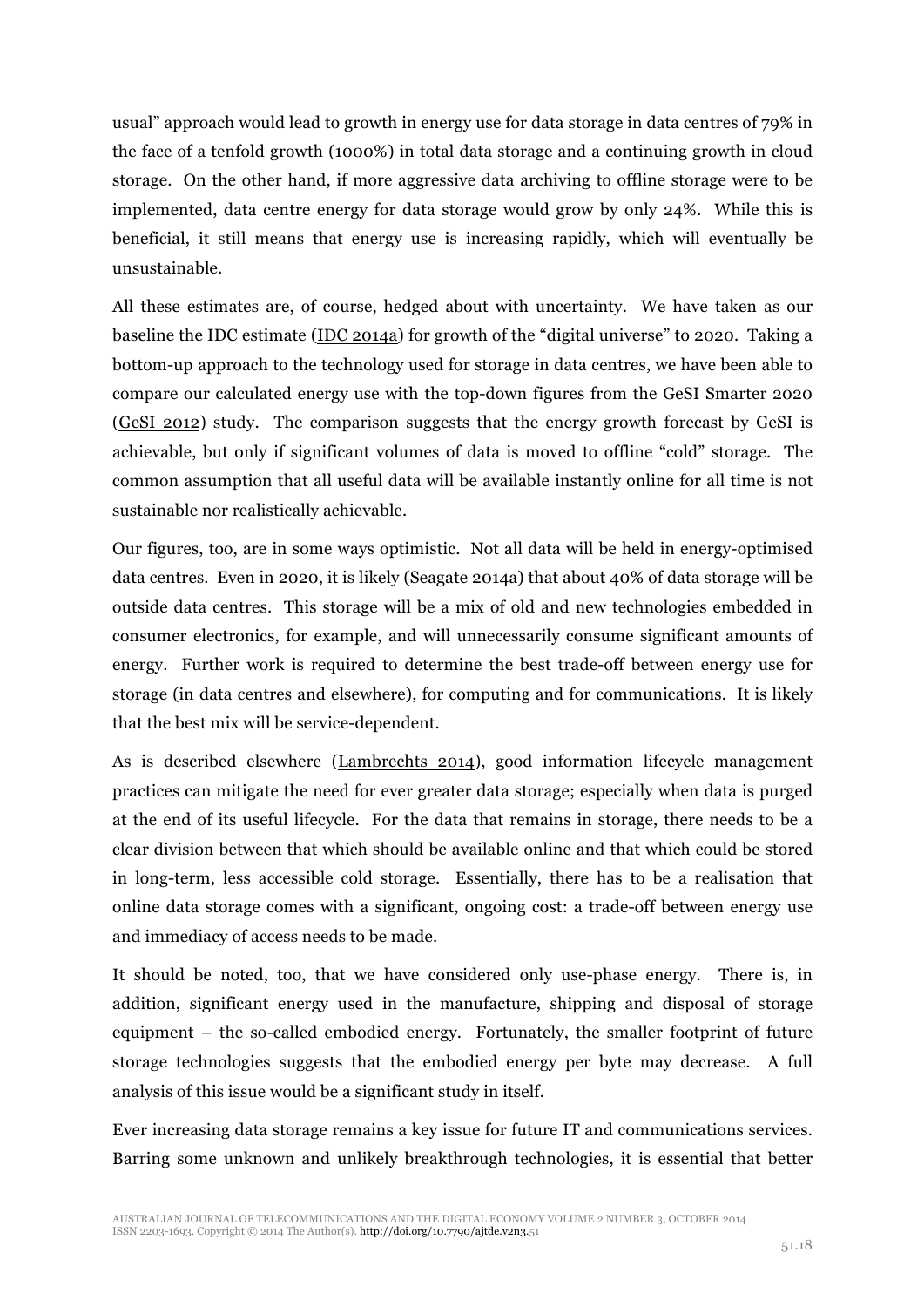usual" approach would lead to growth in energy use for data storage in data centres of 79% in the face of a tenfold growth (1000%) in total data storage and a continuing growth in cloud storage. On the other hand, if more aggressive data archiving to offline storage were to be implemented, data centre energy for data storage would grow by only 24%. While this is beneficial, it still means that energy use is increasing rapidly, which will eventually be unsustainable.

All these estimates are, of course, hedged about with uncertainty. We have taken as our baseline the IDC estimate (IDC 2014a) for growth of the "digital universe" to 2020. Taking a bottom-up approach to the technology used for storage in data centres, we have been able to compare our calculated energy use with the top-down figures from the GeSI Smarter 2020 (GeSI 2012) study. The comparison suggests that the energy growth forecast by GeSI is achievable, but only if significant volumes of data is moved to offline "cold" storage. The common assumption that all useful data will be available instantly online for all time is not sustainable nor realistically achievable.

Our figures, too, are in some ways optimistic. Not all data will be held in energy-optimised data centres. Even in 2020, it is likely (Seagate 2014a) that about 40% of data storage will be outside data centres. This storage will be a mix of old and new technologies embedded in consumer electronics, for example, and will unnecessarily consume significant amounts of energy. Further work is required to determine the best trade-off between energy use for storage (in data centres and elsewhere), for computing and for communications. It is likely that the best mix will be service-dependent.

As is described elsewhere (Lambrechts 2014), good information lifecycle management practices can mitigate the need for ever greater data storage; especially when data is purged at the end of its useful lifecycle. For the data that remains in storage, there needs to be a clear division between that which should be available online and that which could be stored in long-term, less accessible cold storage. Essentially, there has to be a realisation that online data storage comes with a significant, ongoing cost: a trade-off between energy use and immediacy of access needs to be made.

It should be noted, too, that we have considered only use-phase energy. There is, in addition, significant energy used in the manufacture, shipping and disposal of storage equipment – the so-called embodied energy. Fortunately, the smaller footprint of future storage technologies suggests that the embodied energy per byte may decrease. A full analysis of this issue would be a significant study in itself.

Ever increasing data storage remains a key issue for future IT and communications services. Barring some unknown and unlikely breakthrough technologies, it is essential that better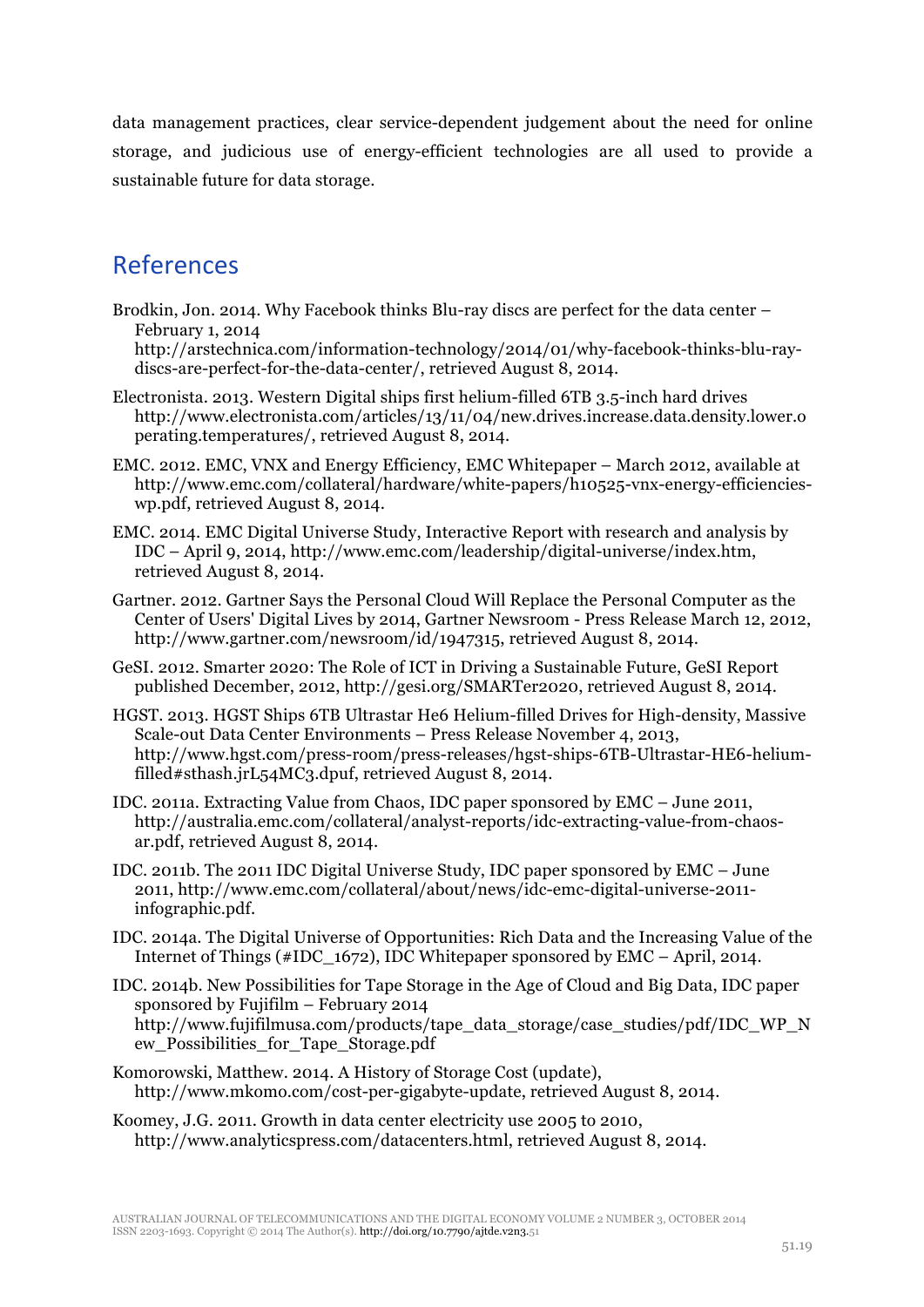data management practices, clear service-dependent judgement about the need for online storage, and judicious use of energy-efficient technologies are all used to provide a sustainable future for data storage.

## References

Brodkin, Jon. 2014. Why Facebook thinks Blu-ray discs are perfect for the data center – February 1, 2014

http://arstechnica.com/information-technology/2014/01/why-facebook-thinks-blu-raydiscs-are-perfect-for-the-data-center/, retrieved August 8, 2014.

- Electronista. 2013. Western Digital ships first helium-filled 6TB 3.5-inch hard drives http://www.electronista.com/articles/13/11/04/new.drives.increase.data.density.lower.o perating.temperatures/, retrieved August 8, 2014.
- EMC. 2012. EMC, VNX and Energy Efficiency, EMC Whitepaper March 2012, available at http://www.emc.com/collateral/hardware/white-papers/h10525-vnx-energy-efficiencieswp.pdf, retrieved August 8, 2014.
- EMC. 2014. EMC Digital Universe Study, Interactive Report with research and analysis by IDC – April 9, 2014, http://www.emc.com/leadership/digital-universe/index.htm, retrieved August 8, 2014.
- Gartner. 2012. Gartner Says the Personal Cloud Will Replace the Personal Computer as the Center of Users' Digital Lives by 2014, Gartner Newsroom - Press Release March 12, 2012, http://www.gartner.com/newsroom/id/1947315, retrieved August 8, 2014.
- GeSI. 2012. Smarter 2020: The Role of ICT in Driving a Sustainable Future, GeSI Report published December, 2012, http://gesi.org/SMARTer2020, retrieved August 8, 2014.
- HGST. 2013. HGST Ships 6TB Ultrastar He6 Helium-filled Drives for High-density, Massive Scale-out Data Center Environments – Press Release November 4, 2013, http://www.hgst.com/press-room/press-releases/hgst-ships-6TB-Ultrastar-HE6-heliumfilled#sthash.jrL54MC3.dpuf, retrieved August 8, 2014.
- IDC. 2011a. Extracting Value from Chaos, IDC paper sponsored by EMC June 2011, http://australia.emc.com/collateral/analyst-reports/idc-extracting-value-from-chaosar.pdf, retrieved August 8, 2014.
- IDC. 2011b. The 2011 IDC Digital Universe Study, IDC paper sponsored by EMC June 2011, http://www.emc.com/collateral/about/news/idc-emc-digital-universe-2011 infographic.pdf.
- IDC. 2014a. The Digital Universe of Opportunities: Rich Data and the Increasing Value of the Internet of Things (#IDC\_1672), IDC Whitepaper sponsored by EMC – April, 2014.

IDC. 2014b. New Possibilities for Tape Storage in the Age of Cloud and Big Data, IDC paper sponsored by Fujifilm – February 2014 http://www.fujifilmusa.com/products/tape\_data\_storage/case\_studies/pdf/IDC\_WP\_N ew\_Possibilities\_for\_Tape\_Storage.pdf

- Komorowski, Matthew. 2014. A History of Storage Cost (update), http://www.mkomo.com/cost-per-gigabyte-update, retrieved August 8, 2014.
- Koomey, J.G. 2011. Growth in data center electricity use 2005 to 2010, http://www.analyticspress.com/datacenters.html, retrieved August 8, 2014.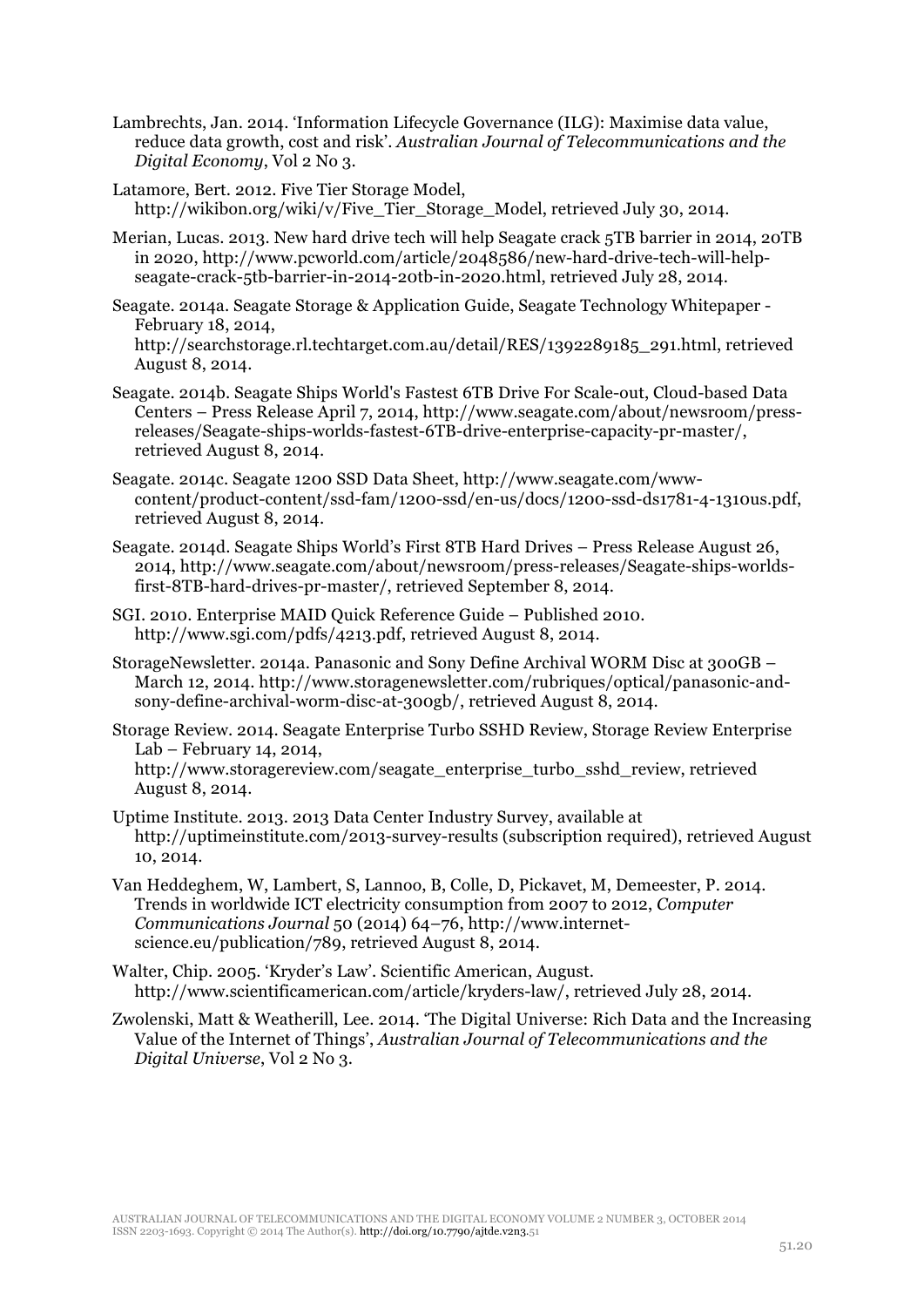Lambrechts, Jan. 2014. 'Information Lifecycle Governance (ILG): Maximise data value, reduce data growth, cost and risk'. *Australian Journal of Telecommunications and the Digital Economy*, Vol 2 No 3.

Latamore, Bert. 2012. Five Tier Storage Model, http://wikibon.org/wiki/v/Five\_Tier\_Storage\_Model, retrieved July 30, 2014.

Merian, Lucas. 2013. New hard drive tech will help Seagate crack 5TB barrier in 2014, 20TB in 2020, http://www.pcworld.com/article/2048586/new-hard-drive-tech-will-helpseagate-crack-5tb-barrier-in-2014-20tb-in-2020.html, retrieved July 28, 2014.

Seagate. 2014a. Seagate Storage & Application Guide, Seagate Technology Whitepaper - February 18, 2014, http://searchstorage.rl.techtarget.com.au/detail/RES/1392289185\_291.html, retrieved August 8, 2014.

- Seagate. 2014b. Seagate Ships World's Fastest 6TB Drive For Scale-out, Cloud-based Data Centers – Press Release April 7, 2014, http://www.seagate.com/about/newsroom/pressreleases/Seagate-ships-worlds-fastest-6TB-drive-enterprise-capacity-pr-master/, retrieved August 8, 2014.
- Seagate. 2014c. Seagate 1200 SSD Data Sheet, http://www.seagate.com/wwwcontent/product-content/ssd-fam/1200-ssd/en-us/docs/1200-ssd-ds1781-4-1310us.pdf, retrieved August 8, 2014.
- Seagate. 2014d. Seagate Ships World's First 8TB Hard Drives Press Release August 26, 2014, http://www.seagate.com/about/newsroom/press-releases/Seagate-ships-worldsfirst-8TB-hard-drives-pr-master/, retrieved September 8, 2014.
- SGI. 2010. Enterprise MAID Quick Reference Guide Published 2010. http://www.sgi.com/pdfs/4213.pdf, retrieved August 8, 2014.
- StorageNewsletter. 2014a. Panasonic and Sony Define Archival WORM Disc at 300GB March 12, 2014. http://www.storagenewsletter.com/rubriques/optical/panasonic-andsony-define-archival-worm-disc-at-300gb/, retrieved August 8, 2014.
- Storage Review. 2014. Seagate Enterprise Turbo SSHD Review, Storage Review Enterprise Lab – February 14, 2014, http://www.storagereview.com/seagate\_enterprise\_turbo\_sshd\_review, retrieved August 8, 2014.
- Uptime Institute. 2013. 2013 Data Center Industry Survey, available at http://uptimeinstitute.com/2013-survey-results (subscription required), retrieved August 10, 2014.
- Van Heddeghem, W, Lambert, S, Lannoo, B, Colle, D, Pickavet, M, Demeester, P. 2014. Trends in worldwide ICT electricity consumption from 2007 to 2012, *Computer Communications Journal* 50 (2014) 64–76, http://www.internetscience.eu/publication/789, retrieved August 8, 2014.
- Walter, Chip. 2005. 'Kryder's Law'. Scientific American, August. http://www.scientificamerican.com/article/kryders-law/, retrieved July 28, 2014.
- Zwolenski, Matt & Weatherill, Lee. 2014. 'The Digital Universe: Rich Data and the Increasing Value of the Internet of Things', *Australian Journal of Telecommunications and the Digital Universe*, Vol 2 No 3.